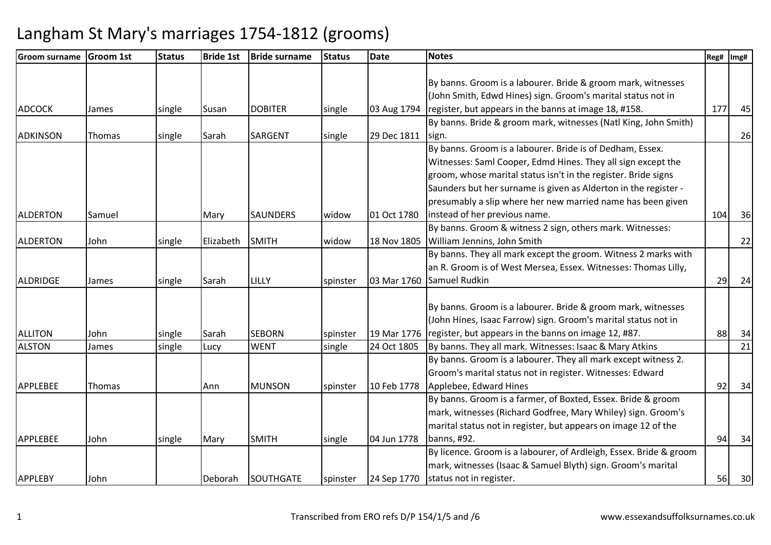| <b>Groom surname</b> | <b>Groom 1st</b> | <b>Status</b> | <b>Bride 1st</b> | <b>Bride surname</b> | <b>Status</b> | <b>Date</b> | <b>Notes</b>                                                       | Reg# | Img# |
|----------------------|------------------|---------------|------------------|----------------------|---------------|-------------|--------------------------------------------------------------------|------|------|
|                      |                  |               |                  |                      |               |             |                                                                    |      |      |
|                      |                  |               |                  |                      |               |             | By banns. Groom is a labourer. Bride & groom mark, witnesses       |      |      |
|                      |                  |               |                  |                      |               |             | (John Smith, Edwd Hines) sign. Groom's marital status not in       |      |      |
| <b>ADCOCK</b>        | James            | single        | Susan            | <b>DOBITER</b>       | single        | 03 Aug 1794 | register, but appears in the banns at image 18, #158.              | 177  | 45   |
|                      |                  |               |                  |                      |               |             | By banns. Bride & groom mark, witnesses (Natl King, John Smith)    |      |      |
| <b>ADKINSON</b>      | Thomas           | single        | Sarah            | <b>SARGENT</b>       | single        | 29 Dec 1811 | sign.                                                              |      | 26   |
|                      |                  |               |                  |                      |               |             | By banns. Groom is a labourer. Bride is of Dedham, Essex.          |      |      |
|                      |                  |               |                  |                      |               |             | Witnesses: Saml Cooper, Edmd Hines. They all sign except the       |      |      |
|                      |                  |               |                  |                      |               |             | groom, whose marital status isn't in the register. Bride signs     |      |      |
|                      |                  |               |                  |                      |               |             | Saunders but her surname is given as Alderton in the register -    |      |      |
|                      |                  |               |                  |                      |               |             | presumably a slip where her new married name has been given        |      |      |
| <b>ALDERTON</b>      | Samuel           |               | Mary             | <b>SAUNDERS</b>      | widow         | 01 Oct 1780 | instead of her previous name.                                      | 104  | 36   |
|                      |                  |               |                  |                      |               |             | By banns. Groom & witness 2 sign, others mark. Witnesses:          |      |      |
| <b>ALDERTON</b>      | John             | single        | Elizabeth        | <b>SMITH</b>         | widow         | 18 Nov 1805 | William Jennins, John Smith                                        |      | 22   |
|                      |                  |               |                  |                      |               |             | By banns. They all mark except the groom. Witness 2 marks with     |      |      |
|                      |                  |               |                  |                      |               |             | an R. Groom is of West Mersea, Essex. Witnesses: Thomas Lilly,     |      |      |
| ALDRIDGE             | James            | single        | Sarah            | LILLY                | spinster      | 03 Mar 1760 | Samuel Rudkin                                                      | 29   | 24   |
|                      |                  |               |                  |                      |               |             |                                                                    |      |      |
|                      |                  |               |                  |                      |               |             | By banns. Groom is a labourer. Bride & groom mark, witnesses       |      |      |
|                      |                  |               |                  |                      |               |             | (John Hines, Isaac Farrow) sign. Groom's marital status not in     |      |      |
| <b>ALLITON</b>       | John             | single        | Sarah            | <b>SEBORN</b>        | spinster      | 19 Mar 1776 | register, but appears in the banns on image 12, #87.               | 88   | 34   |
| <b>ALSTON</b>        | James            | single        | Lucy             | <b>WENT</b>          | single        | 24 Oct 1805 | By banns. They all mark. Witnesses: Isaac & Mary Atkins            |      | 21   |
|                      |                  |               |                  |                      |               |             | By banns. Groom is a labourer. They all mark except witness 2.     |      |      |
|                      |                  |               |                  |                      |               |             | Groom's marital status not in register. Witnesses: Edward          |      |      |
| <b>APPLEBEE</b>      | Thomas           |               | Ann              | <b>MUNSON</b>        | spinster      | 10 Feb 1778 | Applebee, Edward Hines                                             | 92   | 34   |
|                      |                  |               |                  |                      |               |             | By banns. Groom is a farmer, of Boxted, Essex. Bride & groom       |      |      |
|                      |                  |               |                  |                      |               |             | mark, witnesses (Richard Godfree, Mary Whiley) sign. Groom's       |      |      |
|                      |                  |               |                  |                      |               |             | marital status not in register, but appears on image 12 of the     |      |      |
| <b>APPLEBEE</b>      | John             | single        | Mary             | <b>SMITH</b>         | single        | 04 Jun 1778 | banns, #92.                                                        | 94   | 34   |
|                      |                  |               |                  |                      |               |             | By licence. Groom is a labourer, of Ardleigh, Essex. Bride & groom |      |      |
|                      |                  |               |                  |                      |               |             | mark, witnesses (Isaac & Samuel Blyth) sign. Groom's marital       |      |      |
| <b>APPLEBY</b>       | John             |               | Deborah          | <b>SOUTHGATE</b>     | spinster      | 24 Sep 1770 | status not in register.                                            | 56   | 30   |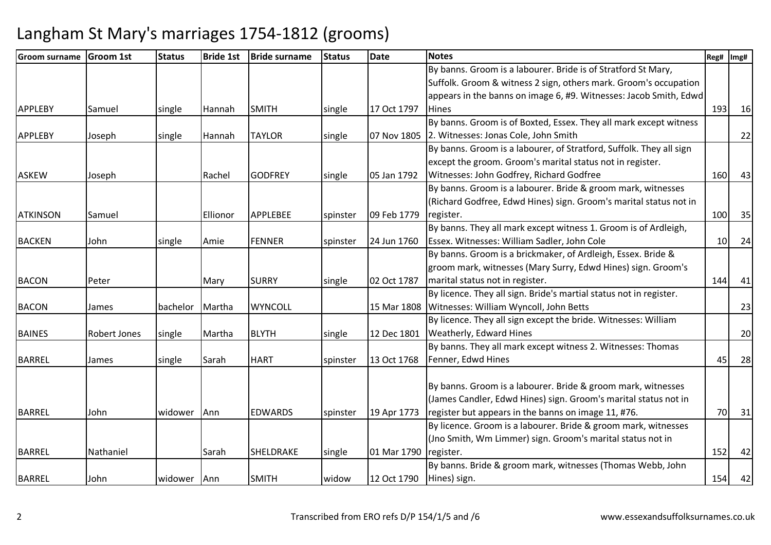| Groom surname   | <b>Groom 1st</b>    | <b>Status</b> | <b>Bride 1st</b> | <b>Bride surname</b> | <b>Status</b> | <b>Date</b> | <b>Notes</b>                                                        | Reg#       | Img# |
|-----------------|---------------------|---------------|------------------|----------------------|---------------|-------------|---------------------------------------------------------------------|------------|------|
|                 |                     |               |                  |                      |               |             | By banns. Groom is a labourer. Bride is of Stratford St Mary,       |            |      |
|                 |                     |               |                  |                      |               |             | Suffolk. Groom & witness 2 sign, others mark. Groom's occupation    |            |      |
|                 |                     |               |                  |                      |               |             | appears in the banns on image 6, #9. Witnesses: Jacob Smith, Edwd   |            |      |
| <b>APPLEBY</b>  | Samuel              | single        | Hannah           | <b>SMITH</b>         | single        | 17 Oct 1797 | <b>Hines</b>                                                        | 193        | 16   |
|                 |                     |               |                  |                      |               |             | By banns. Groom is of Boxted, Essex. They all mark except witness   |            |      |
| <b>APPLEBY</b>  | Joseph              | single        | Hannah           | <b>TAYLOR</b>        | single        | 07 Nov 1805 | 2. Witnesses: Jonas Cole, John Smith                                |            | 22   |
|                 |                     |               |                  |                      |               |             | By banns. Groom is a labourer, of Stratford, Suffolk. They all sign |            |      |
|                 |                     |               |                  |                      |               |             | except the groom. Groom's marital status not in register.           |            |      |
| <b>ASKEW</b>    | Joseph              |               | Rachel           | <b>GODFREY</b>       | single        | 05 Jan 1792 | Witnesses: John Godfrey, Richard Godfree                            | <b>160</b> | 43   |
|                 |                     |               |                  |                      |               |             | By banns. Groom is a labourer. Bride & groom mark, witnesses        |            |      |
|                 |                     |               |                  |                      |               |             | (Richard Godfree, Edwd Hines) sign. Groom's marital status not in   |            |      |
| <b>ATKINSON</b> | Samuel              |               | Ellionor         | <b>APPLEBEE</b>      | spinster      | 09 Feb 1779 | register.                                                           | 100        | 35   |
|                 |                     |               |                  |                      |               |             | By banns. They all mark except witness 1. Groom is of Ardleigh,     |            |      |
| <b>BACKEN</b>   | John                | single        | Amie             | <b>FENNER</b>        | spinster      | 24 Jun 1760 | Essex. Witnesses: William Sadler, John Cole                         | 10         | 24   |
|                 |                     |               |                  |                      |               |             | By banns. Groom is a brickmaker, of Ardleigh, Essex. Bride &        |            |      |
|                 |                     |               |                  |                      |               |             | groom mark, witnesses (Mary Surry, Edwd Hines) sign. Groom's        |            |      |
| <b>BACON</b>    | Peter               |               | Mary             | <b>SURRY</b>         | single        | 02 Oct 1787 | marital status not in register.                                     | 144        | 41   |
|                 |                     |               |                  |                      |               |             | By licence. They all sign. Bride's martial status not in register.  |            |      |
| <b>BACON</b>    | James               | bachelor      | Martha           | <b>WYNCOLL</b>       |               | 15 Mar 1808 | Witnesses: William Wyncoll, John Betts                              |            | 23   |
|                 |                     |               |                  |                      |               |             | By licence. They all sign except the bride. Witnesses: William      |            |      |
| <b>BAINES</b>   | <b>Robert Jones</b> | single        | Martha           | <b>BLYTH</b>         | single        | 12 Dec 1801 | Weatherly, Edward Hines                                             |            | 20   |
|                 |                     |               |                  |                      |               |             | By banns. They all mark except witness 2. Witnesses: Thomas         |            |      |
| <b>BARREL</b>   | James               | single        | Sarah            | <b>HART</b>          | spinster      | 13 Oct 1768 | Fenner, Edwd Hines                                                  | 45         | 28   |
|                 |                     |               |                  |                      |               |             |                                                                     |            |      |
|                 |                     |               |                  |                      |               |             | By banns. Groom is a labourer. Bride & groom mark, witnesses        |            |      |
|                 |                     |               |                  |                      |               |             | (James Candler, Edwd Hines) sign. Groom's marital status not in     |            |      |
| <b>BARREL</b>   | John                | widower Ann   |                  | <b>EDWARDS</b>       | spinster      | 19 Apr 1773 | register but appears in the banns on image 11, #76.                 | 70         | 31   |
|                 |                     |               |                  |                      |               |             | By licence. Groom is a labourer. Bride & groom mark, witnesses      |            |      |
|                 |                     |               |                  |                      |               |             | (Jno Smith, Wm Limmer) sign. Groom's marital status not in          |            |      |
| <b>BARREL</b>   | Nathaniel           |               | Sarah            | SHELDRAKE            | single        | 01 Mar 1790 | register.                                                           | 152        | 42   |
|                 |                     |               |                  |                      |               |             | By banns. Bride & groom mark, witnesses (Thomas Webb, John          |            |      |
| <b>BARREL</b>   | John                | widower Ann   |                  | <b>SMITH</b>         | widow         | 12 Oct 1790 | Hines) sign.                                                        | 154        | 42   |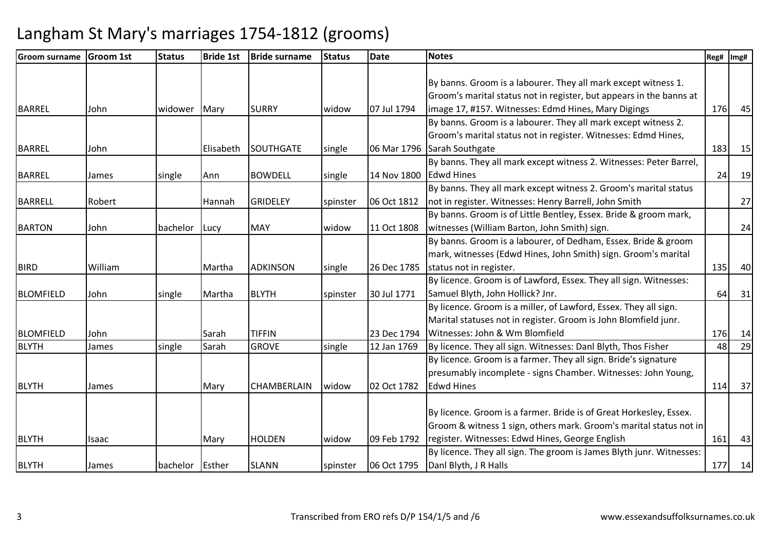| <b>Groom surname</b> | <b>Groom 1st</b> | <b>Status</b> | <b>Bride 1st</b> | <b>Bride surname</b> | <b>Status</b> | <b>Date</b> | <b>Notes</b>                                                         | Reg# | Img#      |
|----------------------|------------------|---------------|------------------|----------------------|---------------|-------------|----------------------------------------------------------------------|------|-----------|
|                      |                  |               |                  |                      |               |             |                                                                      |      |           |
|                      |                  |               |                  |                      |               |             | By banns. Groom is a labourer. They all mark except witness 1.       |      |           |
|                      |                  |               |                  |                      |               |             | Groom's marital status not in register, but appears in the banns at  |      |           |
| BARREL               | John             | widower       | Mary             | <b>SURRY</b>         | widow         | 07 Jul 1794 | image 17, #157. Witnesses: Edmd Hines, Mary Digings                  | 176  | 45        |
|                      |                  |               |                  |                      |               |             | By banns. Groom is a labourer. They all mark except witness 2.       |      |           |
|                      |                  |               |                  |                      |               |             | Groom's marital status not in register. Witnesses: Edmd Hines,       |      |           |
| <b>BARREL</b>        | John             |               | Elisabeth        | <b>SOUTHGATE</b>     | single        | 06 Mar 1796 | Sarah Southgate                                                      | 183  | 15        |
|                      |                  |               |                  |                      |               |             | By banns. They all mark except witness 2. Witnesses: Peter Barrel,   |      |           |
| <b>BARREL</b>        | James            | single        | Ann              | <b>BOWDELL</b>       | single        | 14 Nov 1800 | <b>Edwd Hines</b>                                                    | 24   | <b>19</b> |
|                      |                  |               |                  |                      |               |             | By banns. They all mark except witness 2. Groom's marital status     |      |           |
| <b>BARRELL</b>       | Robert           |               | <b>Hannah</b>    | <b>GRIDELEY</b>      | spinster      | 06 Oct 1812 | not in register. Witnesses: Henry Barrell, John Smith                |      | 27        |
|                      |                  |               |                  |                      |               |             | By banns. Groom is of Little Bentley, Essex. Bride & groom mark,     |      |           |
| <b>BARTON</b>        | John             | bachelor      | Lucy             | <b>MAY</b>           | widow         | 11 Oct 1808 | witnesses (William Barton, John Smith) sign.                         |      | 24        |
|                      |                  |               |                  |                      |               |             | By banns. Groom is a labourer, of Dedham, Essex. Bride & groom       |      |           |
|                      |                  |               |                  |                      |               |             | mark, witnesses (Edwd Hines, John Smith) sign. Groom's marital       |      |           |
| <b>BIRD</b>          | William          |               | Martha           | <b>ADKINSON</b>      | single        | 26 Dec 1785 | status not in register.                                              | 135  | 40        |
|                      |                  |               |                  |                      |               |             | By licence. Groom is of Lawford, Essex. They all sign. Witnesses:    |      |           |
| <b>BLOMFIELD</b>     | John             | single        | Martha           | <b>BLYTH</b>         | spinster      | 30 Jul 1771 | Samuel Blyth, John Hollick? Jnr.                                     | 64   | 31        |
|                      |                  |               |                  |                      |               |             | By licence. Groom is a miller, of Lawford, Essex. They all sign.     |      |           |
|                      |                  |               |                  |                      |               |             | Marital statuses not in register. Groom is John Blomfield junr.      |      |           |
| <b>BLOMFIELD</b>     | John             |               | Sarah            | <b>TIFFIN</b>        |               | 23 Dec 1794 | Witnesses: John & Wm Blomfield                                       | 176  | 14        |
| <b>BLYTH</b>         | James            | single        | Sarah            | <b>GROVE</b>         | single        | 12 Jan 1769 | By licence. They all sign. Witnesses: Danl Blyth, Thos Fisher        | 48   | 29        |
|                      |                  |               |                  |                      |               |             | By licence. Groom is a farmer. They all sign. Bride's signature      |      |           |
|                      |                  |               |                  |                      |               |             | presumably incomplete - signs Chamber. Witnesses: John Young,        |      |           |
| <b>BLYTH</b>         | James            |               | Mary             | <b>CHAMBERLAIN</b>   | widow         | 02 Oct 1782 | <b>Edwd Hines</b>                                                    | 114  | 37        |
|                      |                  |               |                  |                      |               |             |                                                                      |      |           |
|                      |                  |               |                  |                      |               |             | By licence. Groom is a farmer. Bride is of Great Horkesley, Essex.   |      |           |
|                      |                  |               |                  |                      |               |             | Groom & witness 1 sign, others mark. Groom's marital status not in   |      |           |
| <b>BLYTH</b>         | Isaac            |               | Mary             | <b>HOLDEN</b>        | widow         | 09 Feb 1792 | register. Witnesses: Edwd Hines, George English                      | 161  | 43        |
|                      |                  |               |                  |                      |               |             | By licence. They all sign. The groom is James Blyth junr. Witnesses: |      |           |
| <b>BLYTH</b>         | James            | bachelor      | Esther           | <b>SLANN</b>         | spinster      | 06 Oct 1795 | Danl Blyth, J R Halls                                                | 177  | 14        |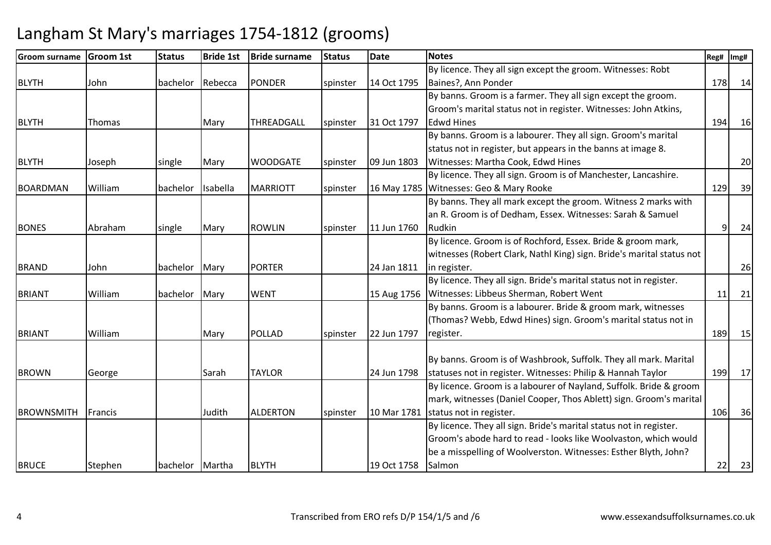| lGroom surname    | <b>Groom 1st</b> | <b>Status</b>   | <b>Bride 1st</b> | <b>Bride surname</b> | <b>Status</b> | <b>Date</b> | <b>Notes</b>                                                          | Reg# | Img# |
|-------------------|------------------|-----------------|------------------|----------------------|---------------|-------------|-----------------------------------------------------------------------|------|------|
|                   |                  |                 |                  |                      |               |             | By licence. They all sign except the groom. Witnesses: Robt           |      |      |
| <b>BLYTH</b>      | John             | bachelor        | Rebecca          | <b>PONDER</b>        | spinster      | 14 Oct 1795 | Baines?, Ann Ponder                                                   | 178  | 14   |
|                   |                  |                 |                  |                      |               |             | By banns. Groom is a farmer. They all sign except the groom.          |      |      |
|                   |                  |                 |                  |                      |               |             | Groom's marital status not in register. Witnesses: John Atkins,       |      |      |
| <b>BLYTH</b>      | Thomas           |                 | Mary             | THREADGALL           | spinster      | 31 Oct 1797 | <b>Edwd Hines</b>                                                     | 194  | 16   |
|                   |                  |                 |                  |                      |               |             | By banns. Groom is a labourer. They all sign. Groom's marital         |      |      |
|                   |                  |                 |                  |                      |               |             | status not in register, but appears in the banns at image 8.          |      |      |
| <b>BLYTH</b>      | Joseph           | single          | Mary             | <b>WOODGATE</b>      | spinster      | 09 Jun 1803 | Witnesses: Martha Cook, Edwd Hines                                    |      | 20   |
|                   |                  |                 |                  |                      |               |             | By licence. They all sign. Groom is of Manchester, Lancashire.        |      |      |
| <b>BOARDMAN</b>   | William          | bachelor        | Isabella         | <b>MARRIOTT</b>      | spinster      |             | 16 May 1785 Witnesses: Geo & Mary Rooke                               | 129  | 39   |
|                   |                  |                 |                  |                      |               |             | By banns. They all mark except the groom. Witness 2 marks with        |      |      |
|                   |                  |                 |                  |                      |               |             | an R. Groom is of Dedham, Essex. Witnesses: Sarah & Samuel            |      |      |
| <b>BONES</b>      | Abraham          | single          | Mary             | <b>ROWLIN</b>        | spinster      | 11 Jun 1760 | Rudkin                                                                | 9    | 24   |
|                   |                  |                 |                  |                      |               |             | By licence. Groom is of Rochford, Essex. Bride & groom mark,          |      |      |
|                   |                  |                 |                  |                      |               |             | witnesses (Robert Clark, Nathl King) sign. Bride's marital status not |      |      |
| <b>BRAND</b>      | John             | bachelor        | Mary             | <b>PORTER</b>        |               | 24 Jan 1811 | in register.                                                          |      | 26   |
|                   |                  |                 |                  |                      |               |             | By licence. They all sign. Bride's marital status not in register.    |      |      |
| <b>BRIANT</b>     | William          | bachelor        | Mary             | <b>WENT</b>          |               | 15 Aug 1756 | Witnesses: Libbeus Sherman, Robert Went                               | 11   | 21   |
|                   |                  |                 |                  |                      |               |             | By banns. Groom is a labourer. Bride & groom mark, witnesses          |      |      |
|                   |                  |                 |                  |                      |               |             | (Thomas? Webb, Edwd Hines) sign. Groom's marital status not in        |      |      |
| <b>BRIANT</b>     | William          |                 | Mary             | POLLAD               | spinster      | 22 Jun 1797 | register.                                                             | 189  | 15   |
|                   |                  |                 |                  |                      |               |             |                                                                       |      |      |
|                   |                  |                 |                  |                      |               |             | By banns. Groom is of Washbrook, Suffolk. They all mark. Marital      |      |      |
| <b>BROWN</b>      | George           |                 | Sarah            | <b>TAYLOR</b>        |               | 24 Jun 1798 | statuses not in register. Witnesses: Philip & Hannah Taylor           | 199  | 17   |
|                   |                  |                 |                  |                      |               |             | By licence. Groom is a labourer of Nayland, Suffolk. Bride & groom    |      |      |
|                   |                  |                 |                  |                      |               |             | mark, witnesses (Daniel Cooper, Thos Ablett) sign. Groom's marital    |      |      |
| <b>BROWNSMITH</b> | Francis          |                 | Judith           | <b>ALDERTON</b>      | spinster      | 10 Mar 1781 | status not in register.                                               | 106  | 36   |
|                   |                  |                 |                  |                      |               |             | By licence. They all sign. Bride's marital status not in register.    |      |      |
|                   |                  |                 |                  |                      |               |             | Groom's abode hard to read - looks like Woolvaston, which would       |      |      |
|                   |                  |                 |                  |                      |               |             | be a misspelling of Woolverston. Witnesses: Esther Blyth, John?       |      |      |
| <b>BRUCE</b>      | Stephen          | bachelor Martha |                  | <b>BLYTH</b>         |               | 19 Oct 1758 | Salmon                                                                | 22   | 23   |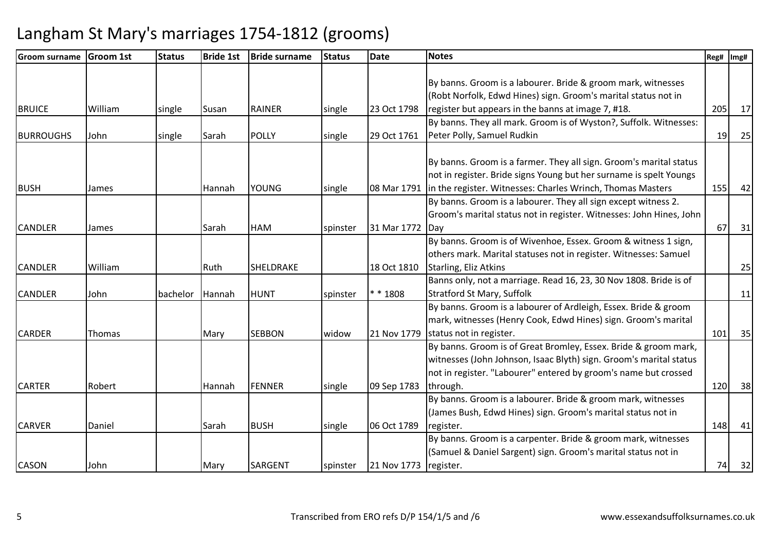| <b>Groom surname</b> | <b>Groom 1st</b> | <b>Status</b> | <b>Bride 1st</b> | <b>Bride surname</b> | <b>Status</b> | <b>Date</b> | <b>Notes</b>                                                        | Reg# | Img# |
|----------------------|------------------|---------------|------------------|----------------------|---------------|-------------|---------------------------------------------------------------------|------|------|
|                      |                  |               |                  |                      |               |             |                                                                     |      |      |
|                      |                  |               |                  |                      |               |             | By banns. Groom is a labourer. Bride & groom mark, witnesses        |      |      |
|                      |                  |               |                  |                      |               |             | (Robt Norfolk, Edwd Hines) sign. Groom's marital status not in      |      |      |
| <b>BRUICE</b>        | William          | single        | Susan            | <b>RAINER</b>        | single        | 23 Oct 1798 | register but appears in the banns at image 7, #18.                  | 205  | 17   |
|                      |                  |               |                  |                      |               |             | By banns. They all mark. Groom is of Wyston?, Suffolk. Witnesses:   |      |      |
| <b>BURROUGHS</b>     | John             | single        | Sarah            | <b>POLLY</b>         | single        | 29 Oct 1761 | Peter Polly, Samuel Rudkin                                          | 19   | 25   |
|                      |                  |               |                  |                      |               |             |                                                                     |      |      |
|                      |                  |               |                  |                      |               |             | By banns. Groom is a farmer. They all sign. Groom's marital status  |      |      |
|                      |                  |               |                  |                      |               |             | not in register. Bride signs Young but her surname is spelt Youngs  |      |      |
| <b>BUSH</b>          | James            |               | l Hannah         | <b>YOUNG</b>         | single        | 08 Mar 1791 | in the register. Witnesses: Charles Wrinch, Thomas Masters          | 155  | 42   |
|                      |                  |               |                  |                      |               |             | By banns. Groom is a labourer. They all sign except witness 2.      |      |      |
|                      |                  |               |                  |                      |               |             | Groom's marital status not in register. Witnesses: John Hines, John |      |      |
| <b>CANDLER</b>       | James            |               | Sarah            | <b>HAM</b>           | spinster      | 31 Mar 1772 | <b>IDav</b>                                                         | 67   | 31   |
|                      |                  |               |                  |                      |               |             | By banns. Groom is of Wivenhoe, Essex. Groom & witness 1 sign,      |      |      |
|                      |                  |               |                  |                      |               |             | others mark. Marital statuses not in register. Witnesses: Samuel    |      |      |
| <b>CANDLER</b>       | William          |               | Ruth             | SHELDRAKE            |               | 18 Oct 1810 | Starling, Eliz Atkins                                               |      | 25   |
|                      |                  |               |                  |                      |               |             | Banns only, not a marriage. Read 16, 23, 30 Nov 1808. Bride is of   |      |      |
| <b>CANDLER</b>       | John             | bachelor      | Hannah           | <b>HUNT</b>          | spinster      | * * 1808    | <b>Stratford St Mary, Suffolk</b>                                   |      | 11   |
|                      |                  |               |                  |                      |               |             | By banns. Groom is a labourer of Ardleigh, Essex. Bride & groom     |      |      |
|                      |                  |               |                  |                      |               |             | mark, witnesses (Henry Cook, Edwd Hines) sign. Groom's marital      |      |      |
| <b>CARDER</b>        | Thomas           |               | Mary             | <b>SEBBON</b>        | widow         | 21 Nov 1779 | status not in register.                                             | 101  | 35   |
|                      |                  |               |                  |                      |               |             | By banns. Groom is of Great Bromley, Essex. Bride & groom mark,     |      |      |
|                      |                  |               |                  |                      |               |             | witnesses (John Johnson, Isaac Blyth) sign. Groom's marital status  |      |      |
|                      |                  |               |                  |                      |               |             | not in register. "Labourer" entered by groom's name but crossed     |      |      |
| <b>CARTER</b>        | Robert           |               | Hannah           | <b>FENNER</b>        | single        | 09 Sep 1783 | through.                                                            | 120  | 38   |
|                      |                  |               |                  |                      |               |             | By banns. Groom is a labourer. Bride & groom mark, witnesses        |      |      |
|                      |                  |               |                  |                      |               |             | (James Bush, Edwd Hines) sign. Groom's marital status not in        |      |      |
| <b>CARVER</b>        | Daniel           |               | Sarah            | <b>BUSH</b>          | single        | 06 Oct 1789 | register.                                                           | 148  | 41   |
|                      |                  |               |                  |                      |               |             | By banns. Groom is a carpenter. Bride & groom mark, witnesses       |      |      |
|                      |                  |               |                  |                      |               |             | (Samuel & Daniel Sargent) sign. Groom's marital status not in       |      |      |
| <b>CASON</b>         | John             |               | Mary             | <b>SARGENT</b>       | spinster      | 21 Nov 1773 | register.                                                           | 74   | 32   |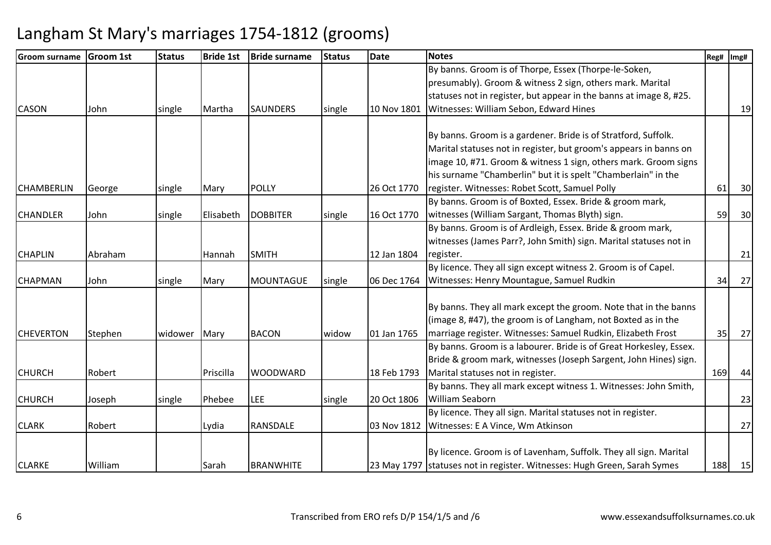| <b>Groom surname</b> | <b>Groom 1st</b> | <b>Status</b> | <b>Bride 1st</b> | <b>Bride surname</b> | <b>Status</b> | <b>Date</b> | <b>Notes</b>                                                             | Reg# | Img# |
|----------------------|------------------|---------------|------------------|----------------------|---------------|-------------|--------------------------------------------------------------------------|------|------|
|                      |                  |               |                  |                      |               |             | By banns. Groom is of Thorpe, Essex (Thorpe-le-Soken,                    |      |      |
|                      |                  |               |                  |                      |               |             | presumably). Groom & witness 2 sign, others mark. Marital                |      |      |
|                      |                  |               |                  |                      |               |             | statuses not in register, but appear in the banns at image 8, #25.       |      |      |
| <b>CASON</b>         | John             | single        | Martha           | <b>SAUNDERS</b>      | single        | 10 Nov 1801 | Witnesses: William Sebon, Edward Hines                                   |      | 19   |
|                      |                  |               |                  |                      |               |             |                                                                          |      |      |
|                      |                  |               |                  |                      |               |             | By banns. Groom is a gardener. Bride is of Stratford, Suffolk.           |      |      |
|                      |                  |               |                  |                      |               |             | Marital statuses not in register, but groom's appears in banns on        |      |      |
|                      |                  |               |                  |                      |               |             | image 10, #71. Groom & witness 1 sign, others mark. Groom signs          |      |      |
|                      |                  |               |                  |                      |               |             | his surname "Chamberlin" but it is spelt "Chamberlain" in the            |      |      |
| <b>CHAMBERLIN</b>    | George           | single        | Mary             | <b>POLLY</b>         |               | 26 Oct 1770 | register. Witnesses: Robet Scott, Samuel Polly                           | 61   | 30   |
|                      |                  |               |                  |                      |               |             | By banns. Groom is of Boxted, Essex. Bride & groom mark,                 |      |      |
| <b>CHANDLER</b>      | John             | single        | Elisabeth        | <b>DOBBITER</b>      | single        | 16 Oct 1770 | witnesses (William Sargant, Thomas Blyth) sign.                          | 59   | 30   |
|                      |                  |               |                  |                      |               |             | By banns. Groom is of Ardleigh, Essex. Bride & groom mark,               |      |      |
|                      |                  |               |                  |                      |               |             | witnesses (James Parr?, John Smith) sign. Marital statuses not in        |      |      |
| <b>CHAPLIN</b>       | Abraham          |               | Hannah           | <b>SMITH</b>         |               | 12 Jan 1804 | register.                                                                |      | 21   |
|                      |                  |               |                  |                      |               |             | By licence. They all sign except witness 2. Groom is of Capel.           |      |      |
| <b>CHAPMAN</b>       | John             | single        | Mary             | <b>MOUNTAGUE</b>     | single        | 06 Dec 1764 | Witnesses: Henry Mountague, Samuel Rudkin                                | 34   | 27   |
|                      |                  |               |                  |                      |               |             | By banns. They all mark except the groom. Note that in the banns         |      |      |
|                      |                  |               |                  |                      |               |             | (image 8, #47), the groom is of Langham, not Boxted as in the            |      |      |
| <b>CHEVERTON</b>     | Stephen          | widower Mary  |                  | <b>BACON</b>         | widow         | 01 Jan 1765 | marriage register. Witnesses: Samuel Rudkin, Elizabeth Frost             | 35   | 27   |
|                      |                  |               |                  |                      |               |             | By banns. Groom is a labourer. Bride is of Great Horkesley, Essex.       |      |      |
|                      |                  |               |                  |                      |               |             | Bride & groom mark, witnesses (Joseph Sargent, John Hines) sign.         |      |      |
| <b>CHURCH</b>        | Robert           |               | Priscilla        | <b>WOODWARD</b>      |               | 18 Feb 1793 | Marital statuses not in register.                                        | 169  | 44   |
|                      |                  |               |                  |                      |               |             | By banns. They all mark except witness 1. Witnesses: John Smith,         |      |      |
| <b>CHURCH</b>        | Joseph           | single        | Phebee           | <b>LEE</b>           | single        | 20 Oct 1806 | <b>William Seaborn</b>                                                   |      | 23   |
|                      |                  |               |                  |                      |               |             | By licence. They all sign. Marital statuses not in register.             |      |      |
| <b>CLARK</b>         | Robert           |               |                  | RANSDALE             |               | 03 Nov 1812 | Witnesses: E A Vince, Wm Atkinson                                        |      | 27   |
|                      |                  |               | Lydia            |                      |               |             |                                                                          |      |      |
|                      |                  |               |                  |                      |               |             | By licence. Groom is of Lavenham, Suffolk. They all sign. Marital        |      |      |
| <b>CLARKE</b>        | William          |               | Sarah            | <b>BRANWHITE</b>     |               |             | 23 May 1797 statuses not in register. Witnesses: Hugh Green, Sarah Symes | 188  | 15   |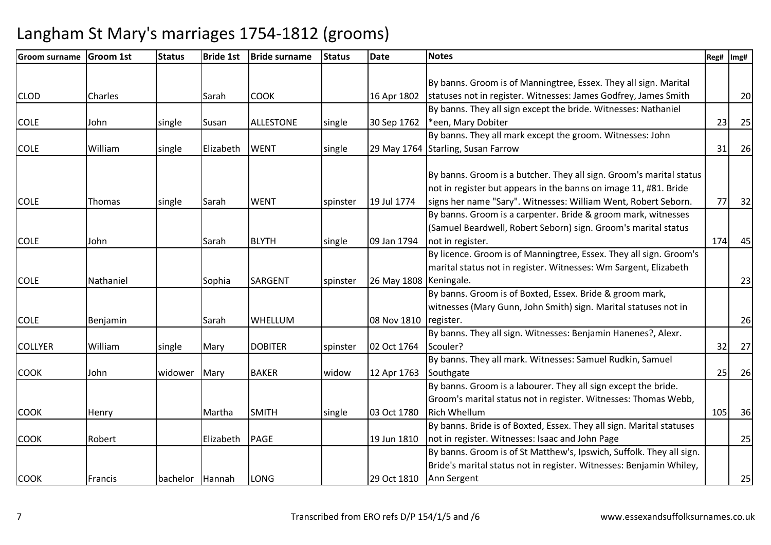| <b>Groom surname</b> | <b>Groom 1st</b> | <b>Status</b>   | <b>Bride 1st</b> | <b>Bride surname</b> | <b>Status</b> | <b>Date</b>              | <b>Notes</b>                                                         | Reg# | Img# |
|----------------------|------------------|-----------------|------------------|----------------------|---------------|--------------------------|----------------------------------------------------------------------|------|------|
|                      |                  |                 |                  |                      |               |                          |                                                                      |      |      |
|                      |                  |                 |                  |                      |               |                          | By banns. Groom is of Manningtree, Essex. They all sign. Marital     |      |      |
| <b>CLOD</b>          | Charles          |                 | Sarah            | <b>COOK</b>          |               | 16 Apr 1802              | statuses not in register. Witnesses: James Godfrey, James Smith      |      | 20   |
|                      |                  |                 |                  |                      |               |                          | By banns. They all sign except the bride. Witnesses: Nathaniel       |      |      |
| <b>COLE</b>          | John             | single          | Susan            | <b>ALLESTONE</b>     | single        | 30 Sep 1762              | *een, Mary Dobiter                                                   | 23   | 25   |
|                      |                  |                 |                  |                      |               |                          | By banns. They all mark except the groom. Witnesses: John            |      |      |
| <b>COLE</b>          | William          | single          | Elizabeth        | <b>WENT</b>          | single        |                          | 29 May 1764 Starling, Susan Farrow                                   | 31   | 26   |
|                      |                  |                 |                  |                      |               |                          |                                                                      |      |      |
|                      |                  |                 |                  |                      |               |                          | By banns. Groom is a butcher. They all sign. Groom's marital status  |      |      |
|                      |                  |                 |                  |                      |               |                          | not in register but appears in the banns on image 11, #81. Bride     |      |      |
| <b>COLE</b>          | Thomas           | single          | Sarah            | <b>WENT</b>          | spinster      | 19 Jul 1774              | signs her name "Sary". Witnesses: William Went, Robert Seborn.       | 77   | 32   |
|                      |                  |                 |                  |                      |               |                          | By banns. Groom is a carpenter. Bride & groom mark, witnesses        |      |      |
|                      |                  |                 |                  |                      |               |                          | (Samuel Beardwell, Robert Seborn) sign. Groom's marital status       |      |      |
| <b>COLE</b>          | John             |                 | Sarah            | <b>BLYTH</b>         | single        | 09 Jan 1794              | not in register.                                                     | 174  | 45   |
|                      |                  |                 |                  |                      |               |                          | By licence. Groom is of Manningtree, Essex. They all sign. Groom's   |      |      |
|                      |                  |                 |                  |                      |               |                          | marital status not in register. Witnesses: Wm Sargent, Elizabeth     |      |      |
| <b>COLE</b>          | Nathaniel        |                 | Sophia           | <b>SARGENT</b>       | spinster      | 26 May 1808   Keningale. |                                                                      |      | 23   |
|                      |                  |                 |                  |                      |               |                          | By banns. Groom is of Boxted, Essex. Bride & groom mark,             |      |      |
|                      |                  |                 |                  |                      |               |                          | witnesses (Mary Gunn, John Smith) sign. Marital statuses not in      |      |      |
| <b>COLE</b>          | Benjamin         |                 | Sarah            | WHELLUM              |               | 08 Nov 1810              | register.                                                            |      | 26   |
|                      |                  |                 |                  |                      |               |                          | By banns. They all sign. Witnesses: Benjamin Hanenes?, Alexr.        |      |      |
| <b>COLLYER</b>       | William          | single          | Mary             | <b>DOBITER</b>       | spinster      | 02 Oct 1764              | Scouler?                                                             | 32   | 27   |
|                      |                  |                 |                  |                      |               |                          | By banns. They all mark. Witnesses: Samuel Rudkin, Samuel            |      |      |
| <b>COOK</b>          | John             | widower         | Mary             | <b>BAKER</b>         | widow         | 12 Apr 1763              | Southgate                                                            | 25   | 26   |
|                      |                  |                 |                  |                      |               |                          | By banns. Groom is a labourer. They all sign except the bride.       |      |      |
|                      |                  |                 |                  |                      |               |                          | Groom's marital status not in register. Witnesses: Thomas Webb,      |      |      |
| <b>COOK</b>          | Henry            |                 | Martha           | <b>SMITH</b>         | single        | 03 Oct 1780              | <b>Rich Whellum</b>                                                  | 105  | 36   |
|                      |                  |                 |                  |                      |               |                          | By banns. Bride is of Boxted, Essex. They all sign. Marital statuses |      |      |
| <b>COOK</b>          | Robert           |                 | Elizabeth        | <b>PAGE</b>          |               | 19 Jun 1810              | not in register. Witnesses: Isaac and John Page                      |      | 25   |
|                      |                  |                 |                  |                      |               |                          | By banns. Groom is of St Matthew's, Ipswich, Suffolk. They all sign. |      |      |
|                      |                  |                 |                  |                      |               |                          | Bride's marital status not in register. Witnesses: Benjamin Whiley,  |      |      |
| <b>COOK</b>          | Francis          | bachelor Hannah |                  | <b>LONG</b>          |               | 29 Oct 1810              | Ann Sergent                                                          |      | 25   |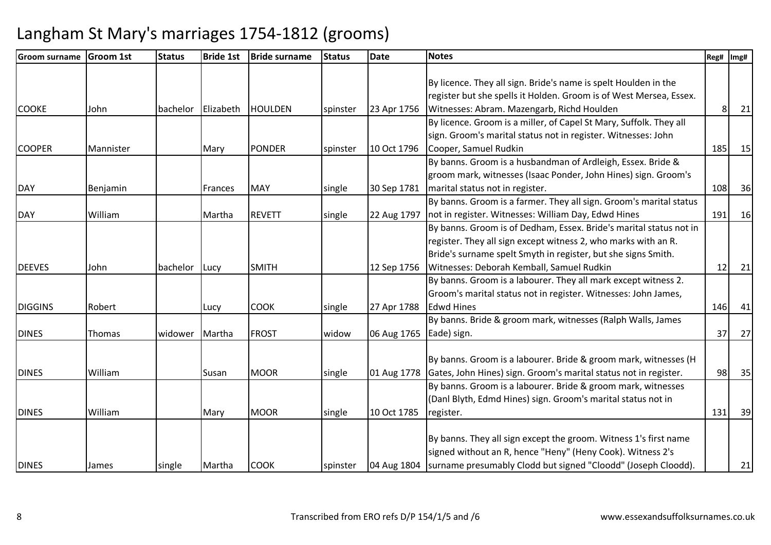| <b>Groom surname</b> | <b>Groom 1st</b> | <b>Status</b> | <b>Bride 1st</b> | <b>Bride surname</b> | <b>Status</b> | <b>Date</b> | <b>Notes</b>                                                              | Reg# | Img# |
|----------------------|------------------|---------------|------------------|----------------------|---------------|-------------|---------------------------------------------------------------------------|------|------|
|                      |                  |               |                  |                      |               |             |                                                                           |      |      |
|                      |                  |               |                  |                      |               |             | By licence. They all sign. Bride's name is spelt Houlden in the           |      |      |
|                      |                  |               |                  |                      |               |             | register but she spells it Holden. Groom is of West Mersea, Essex.        |      |      |
| <b>COOKE</b>         | John             | bachelor      | Elizabeth        | <b>HOULDEN</b>       | spinster      | 23 Apr 1756 | Witnesses: Abram. Mazengarb, Richd Houlden                                | 8    | 21   |
|                      |                  |               |                  |                      |               |             | By licence. Groom is a miller, of Capel St Mary, Suffolk. They all        |      |      |
|                      |                  |               |                  |                      |               |             | sign. Groom's marital status not in register. Witnesses: John             |      |      |
| <b>COOPER</b>        | Mannister        |               | Mary             | <b>PONDER</b>        | spinster      | 10 Oct 1796 | Cooper, Samuel Rudkin                                                     | 185  | 15   |
|                      |                  |               |                  |                      |               |             | By banns. Groom is a husbandman of Ardleigh, Essex. Bride &               |      |      |
|                      |                  |               |                  |                      |               |             | groom mark, witnesses (Isaac Ponder, John Hines) sign. Groom's            |      |      |
| <b>DAY</b>           | <b>Benjamin</b>  |               | <b>IFrances</b>  | <b>MAY</b>           | single        | 30 Sep 1781 | marital status not in register.                                           | 108  | 36   |
|                      |                  |               |                  |                      |               |             | By banns. Groom is a farmer. They all sign. Groom's marital status        |      |      |
| <b>DAY</b>           | William          |               | Martha           | <b>REVETT</b>        | single        | 22 Aug 1797 | not in register. Witnesses: William Day, Edwd Hines                       | 191  | 16   |
|                      |                  |               |                  |                      |               |             | By banns. Groom is of Dedham, Essex. Bride's marital status not in        |      |      |
|                      |                  |               |                  |                      |               |             | register. They all sign except witness 2, who marks with an R.            |      |      |
|                      |                  |               |                  |                      |               |             | Bride's surname spelt Smyth in register, but she signs Smith.             |      |      |
| <b>DEEVES</b>        | John             | bachelor      | Lucy             | <b>SMITH</b>         |               | 12 Sep 1756 | Witnesses: Deborah Kemball, Samuel Rudkin                                 | 12   | 21   |
|                      |                  |               |                  |                      |               |             | By banns. Groom is a labourer. They all mark except witness 2.            |      |      |
|                      |                  |               |                  |                      |               |             | Groom's marital status not in register. Witnesses: John James,            |      |      |
| <b>DIGGINS</b>       | Robert           |               | Lucy             | <b>COOK</b>          | single        | 27 Apr 1788 | <b>Edwd Hines</b>                                                         | 146  | 41   |
|                      |                  |               |                  |                      |               |             | By banns. Bride & groom mark, witnesses (Ralph Walls, James               |      |      |
| <b>DINES</b>         | Thomas           | widower       | Martha           | <b>FROST</b>         | widow         | 06 Aug 1765 | Eade) sign.                                                               | 37   | 27   |
|                      |                  |               |                  |                      |               |             |                                                                           |      |      |
|                      |                  |               |                  |                      |               |             | By banns. Groom is a labourer. Bride & groom mark, witnesses (H)          |      |      |
| <b>DINES</b>         | William          |               | Susan            | <b>MOOR</b>          | single        | 01 Aug 1778 | Gates, John Hines) sign. Groom's marital status not in register.          | 98   | 35   |
|                      |                  |               |                  |                      |               |             | By banns. Groom is a labourer. Bride & groom mark, witnesses              |      |      |
|                      |                  |               |                  |                      |               |             | (Danl Blyth, Edmd Hines) sign. Groom's marital status not in              |      |      |
| <b>DINES</b>         | William          |               | Mary             | <b>MOOR</b>          | single        | 10 Oct 1785 | register.                                                                 | 131  | 39   |
|                      |                  |               |                  |                      |               |             |                                                                           |      |      |
|                      |                  |               |                  |                      |               |             | By banns. They all sign except the groom. Witness 1's first name          |      |      |
|                      |                  |               |                  |                      |               |             | signed without an R, hence "Heny" (Heny Cook). Witness 2's                |      |      |
| <b>DINES</b>         | James            | single        | Martha           | <b>COOK</b>          | spinster      |             | 04 Aug 1804 Surname presumably Clodd but signed "Cloodd" (Joseph Cloodd). |      | 21   |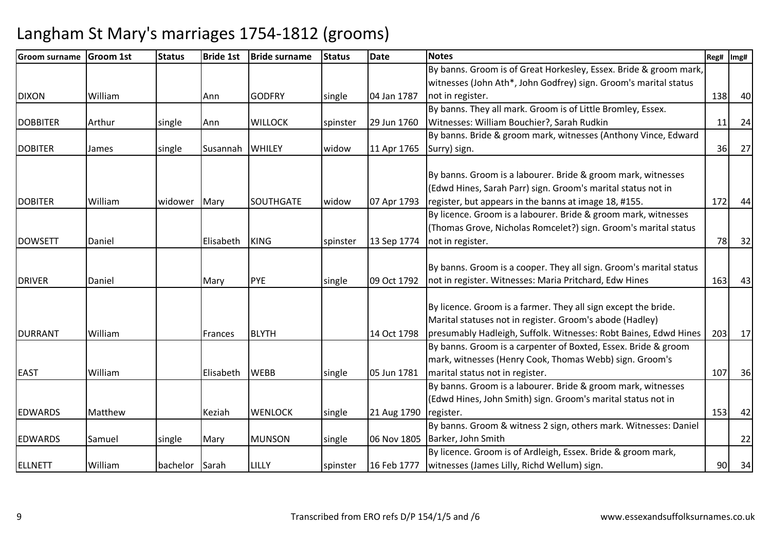| <b>lGroom surname</b> | <b>Groom 1st</b> | <b>Status</b> | <b>Bride 1st</b> | <b>Bride surname</b> | <b>Status</b> | <b>Date</b> | <b>Notes</b>                                                       | Reg# | Img# |
|-----------------------|------------------|---------------|------------------|----------------------|---------------|-------------|--------------------------------------------------------------------|------|------|
|                       |                  |               |                  |                      |               |             | By banns. Groom is of Great Horkesley, Essex. Bride & groom mark,  |      |      |
|                       |                  |               |                  |                      |               |             | witnesses (John Ath*, John Godfrey) sign. Groom's marital status   |      |      |
| <b>DIXON</b>          | William          |               | Ann              | <b>GODFRY</b>        | single        | 04 Jan 1787 | not in register.                                                   | 138  | 40   |
|                       |                  |               |                  |                      |               |             | By banns. They all mark. Groom is of Little Bromley, Essex.        |      |      |
| <b>DOBBITER</b>       | Arthur           | single        | Ann              | <b>WILLOCK</b>       | spinster      | 29 Jun 1760 | Witnesses: William Bouchier?, Sarah Rudkin                         | 11   | 24   |
|                       |                  |               |                  |                      |               |             | By banns. Bride & groom mark, witnesses (Anthony Vince, Edward     |      |      |
| <b>DOBITER</b>        | James            | single        | <b>Susannah</b>  | <b>WHILEY</b>        | widow         | 11 Apr 1765 | Surry) sign.                                                       | 36   | 27   |
|                       |                  |               |                  |                      |               |             |                                                                    |      |      |
|                       |                  |               |                  |                      |               |             | By banns. Groom is a labourer. Bride & groom mark, witnesses       |      |      |
|                       |                  |               |                  |                      |               |             | (Edwd Hines, Sarah Parr) sign. Groom's marital status not in       |      |      |
| <b>DOBITER</b>        | William          | widower       | Mary             | <b>SOUTHGATE</b>     | widow         | 07 Apr 1793 | register, but appears in the banns at image 18, #155.              | 172  | 44   |
|                       |                  |               |                  |                      |               |             | By licence. Groom is a labourer. Bride & groom mark, witnesses     |      |      |
|                       |                  |               |                  |                      |               |             | (Thomas Grove, Nicholas Romcelet?) sign. Groom's marital status    |      |      |
| <b>DOWSETT</b>        | Daniel           |               | Elisabeth        | <b>KING</b>          | spinster      | 13 Sep 1774 | not in register.                                                   | 78   | 32   |
|                       |                  |               |                  |                      |               |             |                                                                    |      |      |
|                       |                  |               |                  |                      |               |             | By banns. Groom is a cooper. They all sign. Groom's marital status |      |      |
| <b>DRIVER</b>         | Daniel           |               | Mary             | <b>PYE</b>           | single        | 09 Oct 1792 | not in register. Witnesses: Maria Pritchard, Edw Hines             | 163  | 43   |
|                       |                  |               |                  |                      |               |             |                                                                    |      |      |
|                       |                  |               |                  |                      |               |             | By licence. Groom is a farmer. They all sign except the bride.     |      |      |
|                       |                  |               |                  |                      |               |             | Marital statuses not in register. Groom's abode (Hadley)           |      |      |
| <b>DURRANT</b>        | William          |               | Frances          | <b>BLYTH</b>         |               | 14 Oct 1798 | presumably Hadleigh, Suffolk. Witnesses: Robt Baines, Edwd Hines   | 203  | 17   |
|                       |                  |               |                  |                      |               |             | By banns. Groom is a carpenter of Boxted, Essex. Bride & groom     |      |      |
|                       |                  |               |                  |                      |               |             | mark, witnesses (Henry Cook, Thomas Webb) sign. Groom's            |      |      |
| <b>EAST</b>           | William          |               | Elisabeth        | <b>WEBB</b>          | single        | 05 Jun 1781 | marital status not in register.                                    | 107  | 36   |
|                       |                  |               |                  |                      |               |             | By banns. Groom is a labourer. Bride & groom mark, witnesses       |      |      |
|                       |                  |               |                  |                      |               |             | (Edwd Hines, John Smith) sign. Groom's marital status not in       |      |      |
| <b>EDWARDS</b>        | Matthew          |               | Keziah           | <b>WENLOCK</b>       | single        | 21 Aug 1790 | register.                                                          | 153  | 42   |
|                       |                  |               |                  |                      |               |             | By banns. Groom & witness 2 sign, others mark. Witnesses: Daniel   |      |      |
| <b>EDWARDS</b>        | Samuel           | single        | Mary             | <b>MUNSON</b>        | single        | 06 Nov 1805 | Barker, John Smith                                                 |      | 22   |
|                       |                  |               |                  |                      |               |             | By licence. Groom is of Ardleigh, Essex. Bride & groom mark,       |      |      |
| <b>ELLNETT</b>        | William          | bachelor      | Sarah            | LILLY                | spinster      | 16 Feb 1777 | witnesses (James Lilly, Richd Wellum) sign.                        | 90   | 34   |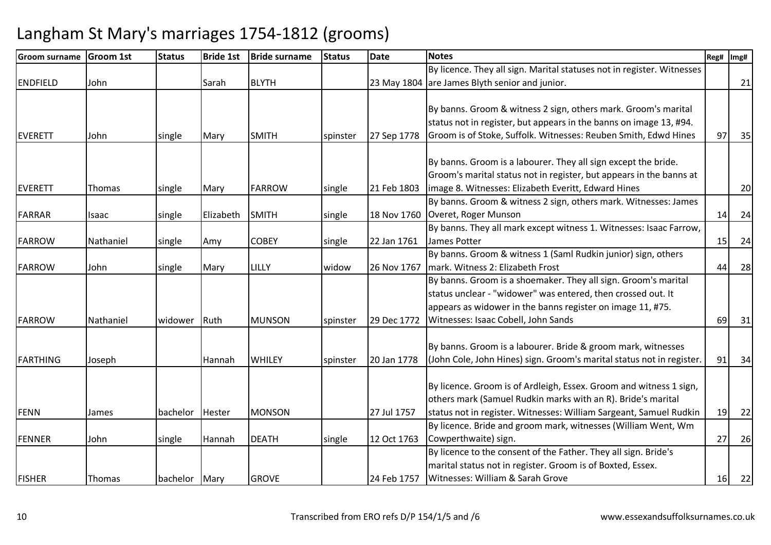| <b>Groom surname</b> | <b>Groom 1st</b> | <b>Status</b> | <b>Bride 1st</b> | <b>Bride surname</b> | <b>Status</b> | Date        | <b>Notes</b>                                                           | Reg# | Img# |
|----------------------|------------------|---------------|------------------|----------------------|---------------|-------------|------------------------------------------------------------------------|------|------|
|                      |                  |               |                  |                      |               |             | By licence. They all sign. Marital statuses not in register. Witnesses |      |      |
| <b>ENDFIELD</b>      | John             |               | Sarah            | <b>BLYTH</b>         |               |             | 23 May 1804 are James Blyth senior and junior.                         |      | 21   |
|                      |                  |               |                  |                      |               |             |                                                                        |      |      |
|                      |                  |               |                  |                      |               |             | By banns. Groom & witness 2 sign, others mark. Groom's marital         |      |      |
|                      |                  |               |                  |                      |               |             | status not in register, but appears in the banns on image 13, #94.     |      |      |
| EVERETT              | John             | single        | Mary             | <b>SMITH</b>         | spinster      | 27 Sep 1778 | Groom is of Stoke, Suffolk. Witnesses: Reuben Smith, Edwd Hines        | 97   | 35   |
|                      |                  |               |                  |                      |               |             |                                                                        |      |      |
|                      |                  |               |                  |                      |               |             | By banns. Groom is a labourer. They all sign except the bride.         |      |      |
|                      |                  |               |                  |                      |               |             | Groom's marital status not in register, but appears in the banns at    |      |      |
| EVERETT              | Thomas           | single        | Mary             | <b>FARROW</b>        | single        | 21 Feb 1803 | image 8. Witnesses: Elizabeth Everitt, Edward Hines                    |      | 20   |
|                      |                  |               |                  |                      |               |             | By banns. Groom & witness 2 sign, others mark. Witnesses: James        |      |      |
| <b>FARRAR</b>        | Isaac            | single        | Elizabeth        | <b>SMITH</b>         | single        | 18 Nov 1760 | Overet, Roger Munson                                                   | 14   | 24   |
|                      |                  |               |                  |                      |               |             | By banns. They all mark except witness 1. Witnesses: Isaac Farrow,     |      |      |
| <b>FARROW</b>        | Nathaniel        | single        | Amy              | <b>COBEY</b>         | single        | 22 Jan 1761 | James Potter                                                           | 15   | 24   |
|                      |                  |               |                  |                      |               |             | By banns. Groom & witness 1 (Saml Rudkin junior) sign, others          |      |      |
| <b>FARROW</b>        | John             | single        | Mary             | LILLY                | widow         | 26 Nov 1767 | mark. Witness 2: Elizabeth Frost                                       | 44   | 28   |
|                      |                  |               |                  |                      |               |             | By banns. Groom is a shoemaker. They all sign. Groom's marital         |      |      |
|                      |                  |               |                  |                      |               |             | status unclear - "widower" was entered, then crossed out. It           |      |      |
|                      |                  |               |                  |                      |               |             | appears as widower in the banns register on image 11, #75.             |      |      |
| <b>FARROW</b>        | Nathaniel        | widower       | Ruth             | <b>MUNSON</b>        | spinster      | 29 Dec 1772 | Witnesses: Isaac Cobell, John Sands                                    | 69   | 31   |
|                      |                  |               |                  |                      |               |             |                                                                        |      |      |
|                      |                  |               |                  |                      |               |             | By banns. Groom is a labourer. Bride & groom mark, witnesses           |      |      |
| <b>FARTHING</b>      | Joseph           |               | Hannah           | <b>WHILEY</b>        | spinster      | 20 Jan 1778 | (John Cole, John Hines) sign. Groom's marital status not in register.  | 91   | 34   |
|                      |                  |               |                  |                      |               |             |                                                                        |      |      |
|                      |                  |               |                  |                      |               |             | By licence. Groom is of Ardleigh, Essex. Groom and witness 1 sign,     |      |      |
|                      |                  |               |                  |                      |               |             | others mark (Samuel Rudkin marks with an R). Bride's marital           |      |      |
| FENN                 | James            | bachelor      | Hester           | <b>MONSON</b>        |               | 27 Jul 1757 | status not in register. Witnesses: William Sargeant, Samuel Rudkin     | 19   | 22   |
|                      |                  |               |                  |                      |               |             | By licence. Bride and groom mark, witnesses (William Went, Wm          |      |      |
| FENNER               | John             | single        | Hannah           | <b>DEATH</b>         | single        | 12 Oct 1763 | Cowperthwaite) sign.                                                   | 27   | 26   |
|                      |                  |               |                  |                      |               |             | By licence to the consent of the Father. They all sign. Bride's        |      |      |
|                      |                  |               |                  |                      |               |             | marital status not in register. Groom is of Boxted, Essex.             |      |      |
| <b>FISHER</b>        | Thomas           | bachelor Mary |                  | <b>GROVE</b>         |               | 24 Feb 1757 | Witnesses: William & Sarah Grove                                       | 16   | 22   |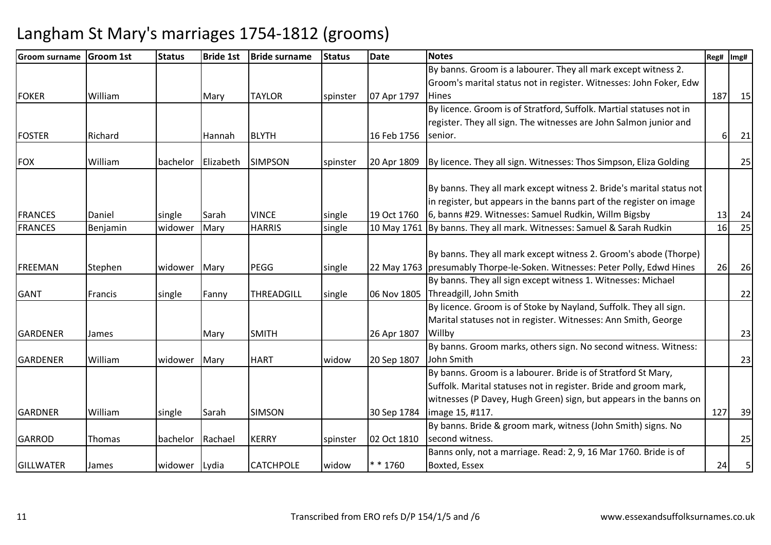| <b>Groom surname</b> | <b>Groom 1st</b> | <b>Status</b> | <b>Bride 1st</b> | <b>Bride surname</b> | <b>Status</b> | <b>Date</b> | <b>Notes</b>                                                                                                                                                                                           | Reg# | Img# |
|----------------------|------------------|---------------|------------------|----------------------|---------------|-------------|--------------------------------------------------------------------------------------------------------------------------------------------------------------------------------------------------------|------|------|
|                      |                  |               |                  |                      |               |             | By banns. Groom is a labourer. They all mark except witness 2.                                                                                                                                         |      |      |
|                      |                  |               |                  |                      |               |             | Groom's marital status not in register. Witnesses: John Foker, Edw                                                                                                                                     |      |      |
| <b>FOKER</b>         | William          |               | Mary             | <b>TAYLOR</b>        | spinster      | 07 Apr 1797 | <b>Hines</b>                                                                                                                                                                                           | 187  | 15   |
|                      |                  |               |                  |                      |               |             | By licence. Groom is of Stratford, Suffolk. Martial statuses not in                                                                                                                                    |      |      |
|                      |                  |               |                  |                      |               |             | register. They all sign. The witnesses are John Salmon junior and                                                                                                                                      |      |      |
| <b>FOSTER</b>        | Richard          |               | Hannah           | <b>BLYTH</b>         |               | 16 Feb 1756 | senior.                                                                                                                                                                                                | 61   | 21   |
| <b>FOX</b>           | William          | bachelor      | Elizabeth        | <b>SIMPSON</b>       | spinster      | 20 Apr 1809 | By licence. They all sign. Witnesses: Thos Simpson, Eliza Golding                                                                                                                                      |      | 25   |
|                      |                  |               |                  |                      |               |             | By banns. They all mark except witness 2. Bride's marital status not<br>in register, but appears in the banns part of the register on image                                                            |      |      |
| <b>FRANCES</b>       | Daniel           | single        | Sarah            | <b>VINCE</b>         | single        | 19 Oct 1760 | 6, banns #29. Witnesses: Samuel Rudkin, Willm Bigsby                                                                                                                                                   | 13   | 24   |
| <b>FRANCES</b>       | Benjamin         | widower       | Mary             | <b>HARRIS</b>        | single        |             | 10 May 1761 By banns. They all mark. Witnesses: Samuel & Sarah Rudkin                                                                                                                                  | 16   | 25   |
| FREEMAN              | Stephen          | widower       | Mary             | <b>PEGG</b>          | single        |             | By banns. They all mark except witness 2. Groom's abode (Thorpe)<br>22 May 1763   presumably Thorpe-le-Soken. Witnesses: Peter Polly, Edwd Hines                                                       | 26   | 26   |
|                      |                  |               |                  |                      |               |             | By banns. They all sign except witness 1. Witnesses: Michael                                                                                                                                           |      |      |
| <b>GANT</b>          | Francis          | single        | Fanny            | THREADGILL           | single        | 06 Nov 1805 | Threadgill, John Smith                                                                                                                                                                                 |      | 22   |
| GARDENER             | James            |               | Mary             | <b>SMITH</b>         |               | 26 Apr 1807 | By licence. Groom is of Stoke by Nayland, Suffolk. They all sign.<br>Marital statuses not in register. Witnesses: Ann Smith, George<br>Willby                                                          |      | 23   |
|                      |                  |               |                  |                      |               |             | By banns. Groom marks, others sign. No second witness. Witness:                                                                                                                                        |      |      |
| <b>GARDENER</b>      | William          | widower       | Mary             | <b>HART</b>          | widow         | 20 Sep 1807 | John Smith                                                                                                                                                                                             |      | 23   |
|                      |                  |               |                  |                      |               |             | By banns. Groom is a labourer. Bride is of Stratford St Mary,<br>Suffolk. Marital statuses not in register. Bride and groom mark,<br>witnesses (P Davey, Hugh Green) sign, but appears in the banns on |      |      |
| <b>GARDNER</b>       | William          | single        | Sarah            | <b>SIMSON</b>        |               | 30 Sep 1784 | image 15, #117.                                                                                                                                                                                        | 127  | 39   |
| <b>GARROD</b>        | Thomas           | bachelor      | Rachael          | <b>KERRY</b>         | spinster      | 02 Oct 1810 | By banns. Bride & groom mark, witness (John Smith) signs. No<br>second witness.                                                                                                                        |      | 25   |
| <b>GILLWATER</b>     | James            | widower       | Lydia            | <b>CATCHPOLE</b>     | widow         | $* * 1760$  | Banns only, not a marriage. Read: 2, 9, 16 Mar 1760. Bride is of<br>Boxted, Essex                                                                                                                      | 24   | 5    |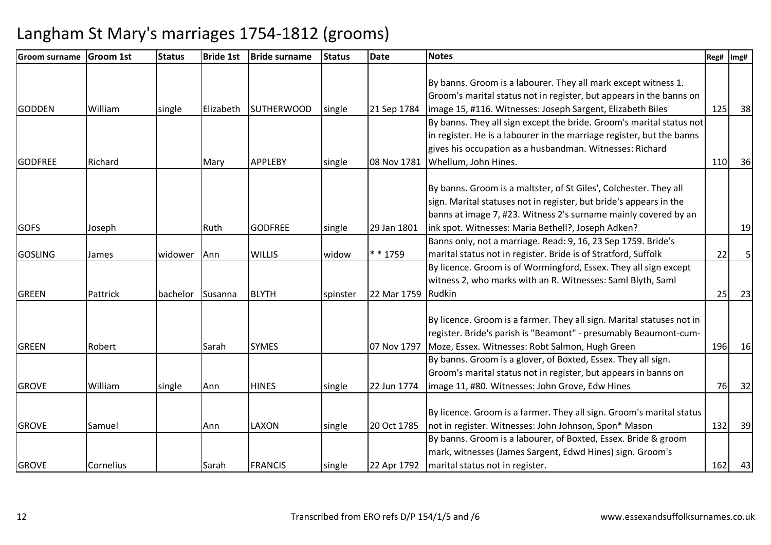| <b>Groom surname</b> | <b>Groom 1st</b> | <b>Status</b> | <b>Bride 1st</b> | <b>Bride surname</b> | <b>Status</b> | <b>Date</b> | <b>Notes</b>                                                                                                        | Reg# | Img# |
|----------------------|------------------|---------------|------------------|----------------------|---------------|-------------|---------------------------------------------------------------------------------------------------------------------|------|------|
|                      |                  |               |                  |                      |               |             |                                                                                                                     |      |      |
|                      |                  |               |                  |                      |               |             | By banns. Groom is a labourer. They all mark except witness 1.                                                      |      |      |
|                      |                  |               |                  |                      |               |             | Groom's marital status not in register, but appears in the banns on                                                 |      |      |
| <b>GODDEN</b>        | William          | single        | Elizabeth        | <b>SUTHERWOOD</b>    | single        | 21 Sep 1784 | image 15, #116. Witnesses: Joseph Sargent, Elizabeth Biles                                                          | 125  | 38   |
|                      |                  |               |                  |                      |               |             | By banns. They all sign except the bride. Groom's marital status not                                                |      |      |
|                      |                  |               |                  |                      |               |             | in register. He is a labourer in the marriage register, but the banns                                               |      |      |
|                      |                  |               |                  |                      |               |             | gives his occupation as a husbandman. Witnesses: Richard                                                            |      |      |
| <b>GODFREE</b>       | Richard          |               | Mary             | <b>APPLEBY</b>       | single        | 08 Nov 1781 | Whellum, John Hines.                                                                                                | 110  | 36   |
|                      |                  |               |                  |                      |               |             | By banns. Groom is a maltster, of St Giles', Colchester. They all                                                   |      |      |
|                      |                  |               |                  |                      |               |             | sign. Marital statuses not in register, but bride's appears in the                                                  |      |      |
|                      |                  |               |                  |                      |               |             | banns at image 7, #23. Witness 2's surname mainly covered by an                                                     |      |      |
|                      |                  |               |                  | <b>GODFREE</b>       |               |             |                                                                                                                     |      |      |
| <b>GOFS</b>          | Joseph           |               | Ruth             |                      | single        | 29 Jan 1801 | ink spot. Witnesses: Maria Bethell?, Joseph Adken?<br>Banns only, not a marriage. Read: 9, 16, 23 Sep 1759. Bride's |      | 19   |
| <b>GOSLING</b>       |                  | widower       | Ann              | <b>WILLIS</b>        | widow         | * * 1759    | marital status not in register. Bride is of Stratford, Suffolk                                                      | 22   | 5    |
|                      | James            |               |                  |                      |               |             | By licence. Groom is of Wormingford, Essex. They all sign except                                                    |      |      |
|                      |                  |               |                  |                      |               |             | witness 2, who marks with an R. Witnesses: Saml Blyth, Saml                                                         |      |      |
| <b>GREEN</b>         | Pattrick         | bachelor      | Susanna          | <b>BLYTH</b>         | spinster      | 22 Mar 1759 | Rudkin                                                                                                              | 25   | 23   |
|                      |                  |               |                  |                      |               |             |                                                                                                                     |      |      |
|                      |                  |               |                  |                      |               |             | By licence. Groom is a farmer. They all sign. Marital statuses not in                                               |      |      |
|                      |                  |               |                  |                      |               |             | register. Bride's parish is "Beamont" - presumably Beaumont-cum-                                                    |      |      |
| <b>IGREEN</b>        | Robert           |               | Sarah            | <b>SYMES</b>         |               | 07 Nov 1797 | Moze, Essex. Witnesses: Robt Salmon, Hugh Green                                                                     | 196  | 16   |
|                      |                  |               |                  |                      |               |             | By banns. Groom is a glover, of Boxted, Essex. They all sign.                                                       |      |      |
|                      |                  |               |                  |                      |               |             | Groom's marital status not in register, but appears in banns on                                                     |      |      |
| <b>GROVE</b>         | William          | single        | Ann              | <b>HINES</b>         | single        | 22 Jun 1774 | image 11, #80. Witnesses: John Grove, Edw Hines                                                                     | 76   | 32   |
|                      |                  |               |                  |                      |               |             |                                                                                                                     |      |      |
|                      |                  |               |                  |                      |               |             | By licence. Groom is a farmer. They all sign. Groom's marital status                                                |      |      |
| <b>GROVE</b>         | Samuel           |               | Ann              | LAXON                | single        | 20 Oct 1785 | not in register. Witnesses: John Johnson, Spon* Mason                                                               | 132  | 39   |
|                      |                  |               |                  |                      |               |             | By banns. Groom is a labourer, of Boxted, Essex. Bride & groom                                                      |      |      |
|                      |                  |               |                  |                      |               |             | mark, witnesses (James Sargent, Edwd Hines) sign. Groom's                                                           |      |      |
| <b>GROVE</b>         | Cornelius        |               | Sarah            | <b>FRANCIS</b>       | single        | 22 Apr 1792 | marital status not in register.                                                                                     | 162  | 43   |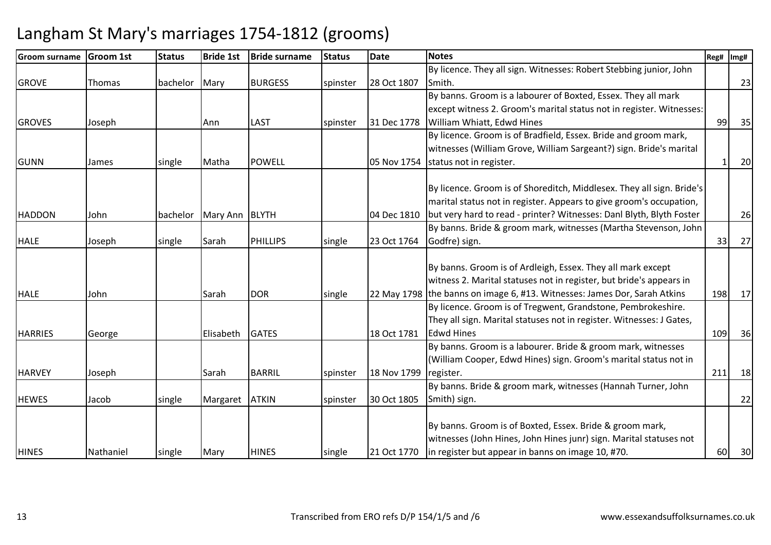| <b>lGroom surname</b> | <b>Groom 1st</b> | <b>Status</b> | <b>Bride 1st</b> | <b>Bride surname</b> | <b>Status</b> | <b>Date</b> | Notes                                                                     | Reg# | Img# |
|-----------------------|------------------|---------------|------------------|----------------------|---------------|-------------|---------------------------------------------------------------------------|------|------|
|                       |                  |               |                  |                      |               |             | By licence. They all sign. Witnesses: Robert Stebbing junior, John        |      |      |
| <b>GROVE</b>          | Thomas           | bachelor      | Mary             | <b>BURGESS</b>       | spinster      | 28 Oct 1807 | Smith.                                                                    |      | 23   |
|                       |                  |               |                  |                      |               |             | By banns. Groom is a labourer of Boxted, Essex. They all mark             |      |      |
|                       |                  |               |                  |                      |               |             | except witness 2. Groom's marital status not in register. Witnesses:      |      |      |
| <b>GROVES</b>         | Joseph           |               | Ann              | LAST                 | spinster      | 31 Dec 1778 | William Whiatt, Edwd Hines                                                | 99   | 35   |
|                       |                  |               |                  |                      |               |             | By licence. Groom is of Bradfield, Essex. Bride and groom mark,           |      |      |
|                       |                  |               |                  |                      |               |             | witnesses (William Grove, William Sargeant?) sign. Bride's marital        |      |      |
| GUNN                  | James            | single        | Matha            | <b>POWELL</b>        |               | 05 Nov 1754 | status not in register.                                                   |      | 20   |
|                       |                  |               |                  |                      |               |             |                                                                           |      |      |
|                       |                  |               |                  |                      |               |             | By licence. Groom is of Shoreditch, Middlesex. They all sign. Bride's     |      |      |
|                       |                  |               |                  |                      |               |             | marital status not in register. Appears to give groom's occupation,       |      |      |
| <b>HADDON</b>         | John             | bachelor      | Mary Ann BLYTH   |                      |               | 04 Dec 1810 | but very hard to read - printer? Witnesses: Danl Blyth, Blyth Foster      |      | 26   |
|                       |                  |               |                  |                      |               |             | By banns. Bride & groom mark, witnesses (Martha Stevenson, John           |      |      |
| <b>HALE</b>           | Joseph           | single        | Sarah            | <b>PHILLIPS</b>      | single        | 23 Oct 1764 | Godfre) sign.                                                             | 33   | 27   |
|                       |                  |               |                  |                      |               |             |                                                                           |      |      |
|                       |                  |               |                  |                      |               |             | By banns. Groom is of Ardleigh, Essex. They all mark except               |      |      |
|                       |                  |               |                  |                      |               |             | witness 2. Marital statuses not in register, but bride's appears in       |      |      |
| <b>HALE</b>           | John             |               | Sarah            | <b>DOR</b>           | single        |             | 22 May 1798 the banns on image 6, #13. Witnesses: James Dor, Sarah Atkins | 198  | 17   |
|                       |                  |               |                  |                      |               |             | By licence. Groom is of Tregwent, Grandstone, Pembrokeshire.              |      |      |
|                       |                  |               |                  |                      |               |             | They all sign. Marital statuses not in register. Witnesses: J Gates,      |      |      |
| <b>HARRIES</b>        | George           |               | Elisabeth        | <b>GATES</b>         |               | 18 Oct 1781 | <b>Edwd Hines</b>                                                         | 109  | 36   |
|                       |                  |               |                  |                      |               |             | By banns. Groom is a labourer. Bride & groom mark, witnesses              |      |      |
|                       |                  |               |                  |                      |               |             | (William Cooper, Edwd Hines) sign. Groom's marital status not in          |      |      |
| <b>HARVEY</b>         | Joseph           |               | Sarah            | <b>BARRIL</b>        | spinster      | 18 Nov 1799 | register.                                                                 | 211  | 18   |
|                       |                  |               |                  |                      |               |             | By banns. Bride & groom mark, witnesses (Hannah Turner, John              |      |      |
| <b>HEWES</b>          | Jacob            | single        | Margaret         | <b>ATKIN</b>         | spinster      | 30 Oct 1805 | Smith) sign.                                                              |      | 22   |
|                       |                  |               |                  |                      |               |             |                                                                           |      |      |
|                       |                  |               |                  |                      |               |             | By banns. Groom is of Boxted, Essex. Bride & groom mark,                  |      |      |
|                       |                  |               |                  |                      |               |             | witnesses (John Hines, John Hines junr) sign. Marital statuses not        |      |      |
| <b>HINES</b>          | Nathaniel        | single        | Mary             | <b>HINES</b>         | single        | 21 Oct 1770 | in register but appear in banns on image 10, #70.                         | 60   | 30   |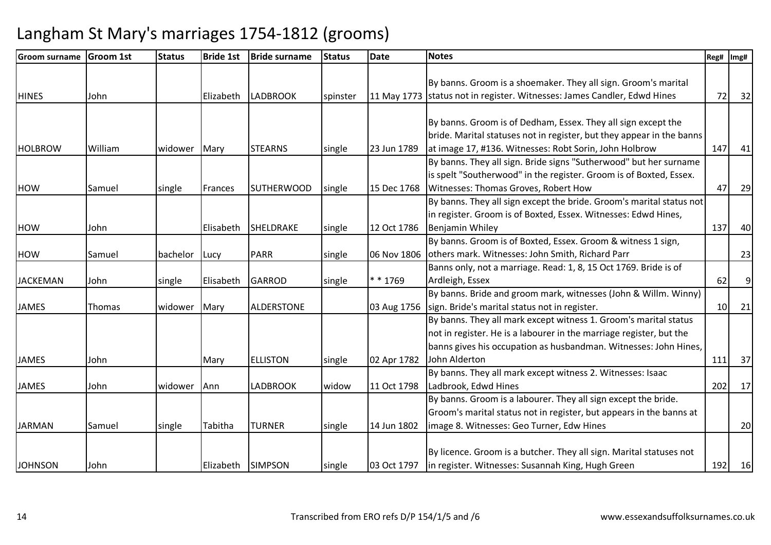| <b>Groom surname</b> | <b>Groom 1st</b> | <b>Status</b> | <b>Bride 1st</b> | <b>Bride surname</b> | <b>Status</b> | <b>Date</b> | <b>Notes</b>                                                             | Reg#            | Img#           |
|----------------------|------------------|---------------|------------------|----------------------|---------------|-------------|--------------------------------------------------------------------------|-----------------|----------------|
|                      |                  |               |                  |                      |               |             |                                                                          |                 |                |
|                      |                  |               |                  |                      |               |             | By banns. Groom is a shoemaker. They all sign. Groom's marital           |                 |                |
| <b>HINES</b>         | John             |               | Elizabeth        | <b>LADBROOK</b>      | spinster      |             | 11 May 1773 status not in register. Witnesses: James Candler, Edwd Hines | 72              | 32             |
|                      |                  |               |                  |                      |               |             |                                                                          |                 |                |
|                      |                  |               |                  |                      |               |             | By banns. Groom is of Dedham, Essex. They all sign except the            |                 |                |
|                      |                  |               |                  |                      |               |             | bride. Marital statuses not in register, but they appear in the banns    |                 |                |
| <b>HOLBROW</b>       | William          | widower       | Mary             | <b>STEARNS</b>       | single        | 23 Jun 1789 | at image 17, #136. Witnesses: Robt Sorin, John Holbrow                   | 147             | 41             |
|                      |                  |               |                  |                      |               |             | By banns. They all sign. Bride signs "Sutherwood" but her surname        |                 |                |
|                      |                  |               |                  |                      |               |             | is spelt "Southerwood" in the register. Groom is of Boxted, Essex.       |                 |                |
| <b>HOW</b>           | Samuel           | single        | Frances          | <b>SUTHERWOOD</b>    | single        | 15 Dec 1768 | Witnesses: Thomas Groves, Robert How                                     | 47              | 29             |
|                      |                  |               |                  |                      |               |             | By banns. They all sign except the bride. Groom's marital status not     |                 |                |
|                      |                  |               |                  |                      |               |             | in register. Groom is of Boxted, Essex. Witnesses: Edwd Hines,           |                 |                |
| <b>HOW</b>           | John             |               | Elisabeth        | SHELDRAKE            | single        | 12 Oct 1786 | <b>Benjamin Whiley</b>                                                   | 137             | 40             |
|                      |                  |               |                  |                      |               |             | By banns. Groom is of Boxted, Essex. Groom & witness 1 sign,             |                 |                |
| <b>HOW</b>           | Samuel           | bachelor      | Lucy             | <b>PARR</b>          | single        | 06 Nov 1806 | others mark. Witnesses: John Smith, Richard Parr                         |                 | 23             |
|                      |                  |               |                  |                      |               |             | Banns only, not a marriage. Read: 1, 8, 15 Oct 1769. Bride is of         |                 |                |
| <b>JACKEMAN</b>      | John             | single        | Elisabeth        | <b>GARROD</b>        | single        | ** 1769     | Ardleigh, Essex                                                          | 62              | $\overline{9}$ |
|                      |                  |               |                  |                      |               |             | By banns. Bride and groom mark, witnesses (John & Willm. Winny)          |                 |                |
| <b>JAMES</b>         | <b>Thomas</b>    | widower       | Mary             | <b>ALDERSTONE</b>    |               | 03 Aug 1756 | sign. Bride's marital status not in register.                            | 10 <sup>1</sup> | 21             |
|                      |                  |               |                  |                      |               |             | By banns. They all mark except witness 1. Groom's marital status         |                 |                |
|                      |                  |               |                  |                      |               |             | not in register. He is a labourer in the marriage register, but the      |                 |                |
|                      |                  |               |                  |                      |               |             | banns gives his occupation as husbandman. Witnesses: John Hines,         |                 |                |
| <b>JAMES</b>         | John             |               | Mary             | <b>ELLISTON</b>      | single        | 02 Apr 1782 | John Alderton                                                            | 111             | 37             |
|                      |                  |               |                  |                      |               |             | By banns. They all mark except witness 2. Witnesses: Isaac               |                 |                |
| <b>JAMES</b>         | John             | widower       | Ann              | <b>LADBROOK</b>      | widow         | 11 Oct 1798 | Ladbrook, Edwd Hines                                                     | 202             | 17             |
|                      |                  |               |                  |                      |               |             | By banns. Groom is a labourer. They all sign except the bride.           |                 |                |
|                      |                  |               |                  |                      |               |             | Groom's marital status not in register, but appears in the banns at      |                 |                |
| <b>JARMAN</b>        | Samuel           | single        | Tabitha          | <b>TURNER</b>        | single        | 14 Jun 1802 | image 8. Witnesses: Geo Turner, Edw Hines                                |                 | 20             |
|                      |                  |               |                  |                      |               |             |                                                                          |                 |                |
|                      |                  |               |                  |                      |               |             | By licence. Groom is a butcher. They all sign. Marital statuses not      |                 |                |
| <b>JOHNSON</b>       | John             |               |                  | Elizabeth SIMPSON    | single        | 03 Oct 1797 | in register. Witnesses: Susannah King, Hugh Green                        | 192             | 16             |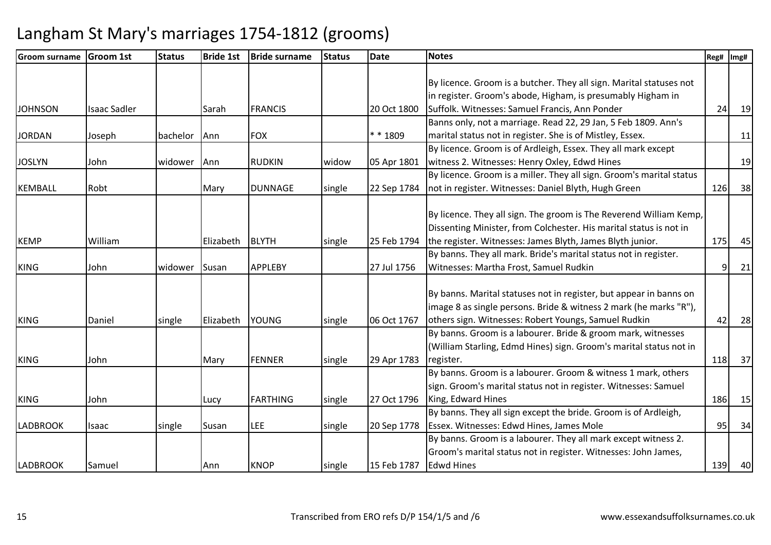| <b>Groom surname</b> | <b>Groom 1st</b>    | <b>Status</b> | <b>Bride 1st</b> | <b>Bride surname</b> | <b>Status</b> | <b>Date</b> | <b>Notes</b>                                                         | Reg# | Img# |
|----------------------|---------------------|---------------|------------------|----------------------|---------------|-------------|----------------------------------------------------------------------|------|------|
|                      |                     |               |                  |                      |               |             |                                                                      |      |      |
|                      |                     |               |                  |                      |               |             | By licence. Groom is a butcher. They all sign. Marital statuses not  |      |      |
|                      |                     |               |                  |                      |               |             | in register. Groom's abode, Higham, is presumably Higham in          |      |      |
| <b>JOHNSON</b>       | <b>Isaac Sadler</b> |               | Sarah            | <b>FRANCIS</b>       |               | 20 Oct 1800 | Suffolk. Witnesses: Samuel Francis, Ann Ponder                       | 24   | 19   |
|                      |                     |               |                  |                      |               |             | Banns only, not a marriage. Read 22, 29 Jan, 5 Feb 1809. Ann's       |      |      |
| <b>JORDAN</b>        | Joseph              | bachelor      | Ann              | <b>FOX</b>           |               | ** 1809     | marital status not in register. She is of Mistley, Essex.            |      | 11   |
|                      |                     |               |                  |                      |               |             | By licence. Groom is of Ardleigh, Essex. They all mark except        |      |      |
| <b>JOSLYN</b>        | John                | widower       | Ann              | <b>RUDKIN</b>        | widow         | 05 Apr 1801 | witness 2. Witnesses: Henry Oxley, Edwd Hines                        |      | 19   |
|                      |                     |               |                  |                      |               |             | By licence. Groom is a miller. They all sign. Groom's marital status |      |      |
| <b>KEMBALL</b>       | Robt                |               | Mary             | <b>DUNNAGE</b>       | single        | 22 Sep 1784 | not in register. Witnesses: Daniel Blyth, Hugh Green                 | 126  | 38   |
|                      |                     |               |                  |                      |               |             |                                                                      |      |      |
|                      |                     |               |                  |                      |               |             | By licence. They all sign. The groom is The Reverend William Kemp,   |      |      |
|                      |                     |               |                  |                      |               |             | Dissenting Minister, from Colchester. His marital status is not in   |      |      |
| <b>KEMP</b>          | William             |               | Elizabeth        | <b>BLYTH</b>         | single        | 25 Feb 1794 | the register. Witnesses: James Blyth, James Blyth junior.            | 175  | 45   |
|                      |                     |               |                  |                      |               |             | By banns. They all mark. Bride's marital status not in register.     |      |      |
| <b>KING</b>          | John                | widower       | Susan            | <b>APPLEBY</b>       |               | 27 Jul 1756 | Witnesses: Martha Frost, Samuel Rudkin                               | 9    | 21   |
|                      |                     |               |                  |                      |               |             |                                                                      |      |      |
|                      |                     |               |                  |                      |               |             | By banns. Marital statuses not in register, but appear in banns on   |      |      |
|                      |                     |               |                  |                      |               |             | image 8 as single persons. Bride & witness 2 mark (he marks "R"),    |      |      |
| <b>KING</b>          | Daniel              | single        | Elizabeth        | <b>YOUNG</b>         | single        | 06 Oct 1767 | others sign. Witnesses: Robert Youngs, Samuel Rudkin                 | 42   | 28   |
|                      |                     |               |                  |                      |               |             | By banns. Groom is a labourer. Bride & groom mark, witnesses         |      |      |
|                      |                     |               |                  |                      |               |             | (William Starling, Edmd Hines) sign. Groom's marital status not in   |      |      |
| <b>KING</b>          | John                |               | Mary             | <b>FENNER</b>        | single        | 29 Apr 1783 | register.                                                            | 118  | 37   |
|                      |                     |               |                  |                      |               |             | By banns. Groom is a labourer. Groom & witness 1 mark, others        |      |      |
|                      |                     |               |                  |                      |               |             | sign. Groom's marital status not in register. Witnesses: Samuel      |      |      |
| <b>KING</b>          | John                |               | Lucy             | <b>FARTHING</b>      | single        | 27 Oct 1796 | King, Edward Hines                                                   | 186  | 15   |
|                      |                     |               |                  |                      |               |             | By banns. They all sign except the bride. Groom is of Ardleigh,      |      |      |
| <b>LADBROOK</b>      | Isaac               | single        | Susan            | LEE                  | single        | 20 Sep 1778 | Essex. Witnesses: Edwd Hines, James Mole                             | 95   | 34   |
|                      |                     |               |                  |                      |               |             | By banns. Groom is a labourer. They all mark except witness 2.       |      |      |
|                      |                     |               |                  |                      |               |             | Groom's marital status not in register. Witnesses: John James,       |      |      |
| <b>LADBROOK</b>      | Samuel              |               | Ann              | <b>KNOP</b>          | single        | 15 Feb 1787 | Edwd Hines                                                           | 139  | 40   |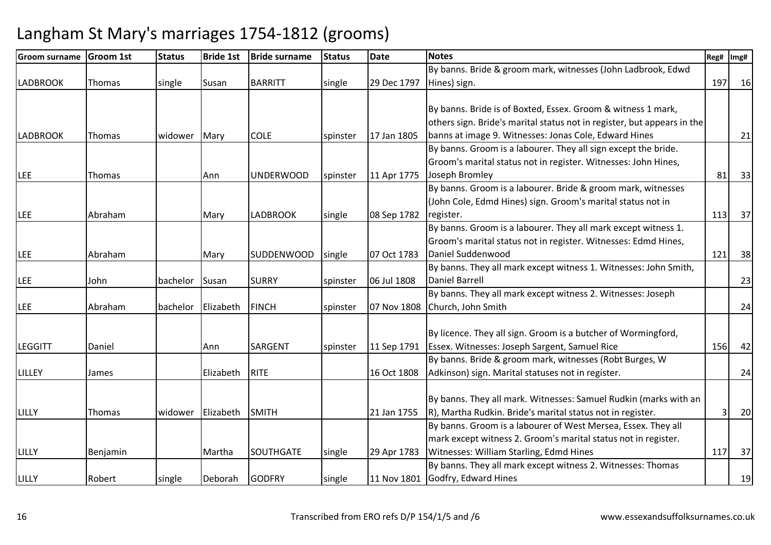| Groom surname   | <b>Groom 1st</b> | <b>Status</b> | <b>Bride 1st</b> | <b>Bride surname</b> | <b>Status</b> | Date        | <b>Notes</b>                                                            | Reg# | Img# |
|-----------------|------------------|---------------|------------------|----------------------|---------------|-------------|-------------------------------------------------------------------------|------|------|
|                 |                  |               |                  |                      |               |             | By banns. Bride & groom mark, witnesses (John Ladbrook, Edwd            |      |      |
| <b>LADBROOK</b> | Thomas           | single        | Susan            | <b>BARRITT</b>       | single        | 29 Dec 1797 | Hines) sign.                                                            | 197  | 16   |
|                 |                  |               |                  |                      |               |             |                                                                         |      |      |
|                 |                  |               |                  |                      |               |             | By banns. Bride is of Boxted, Essex. Groom & witness 1 mark,            |      |      |
|                 |                  |               |                  |                      |               |             | others sign. Bride's marital status not in register, but appears in the |      |      |
| <b>LADBROOK</b> | <b>Thomas</b>    | widower       | Mary             | <b>COLE</b>          | spinster      | 17 Jan 1805 | banns at image 9. Witnesses: Jonas Cole, Edward Hines                   |      | 21   |
|                 |                  |               |                  |                      |               |             | By banns. Groom is a labourer. They all sign except the bride.          |      |      |
|                 |                  |               |                  |                      |               |             | Groom's marital status not in register. Witnesses: John Hines,          |      |      |
| <b>LEE</b>      | Thomas           |               | Ann              | <b>UNDERWOOD</b>     | spinster      | 11 Apr 1775 | Joseph Bromley                                                          | 81   | 33   |
|                 |                  |               |                  |                      |               |             | By banns. Groom is a labourer. Bride & groom mark, witnesses            |      |      |
|                 |                  |               |                  |                      |               |             | (John Cole, Edmd Hines) sign. Groom's marital status not in             |      |      |
| <b>LEE</b>      | Abraham          |               | Mary             | <b>LADBROOK</b>      | single        | 08 Sep 1782 | register.                                                               | 113  | 37   |
|                 |                  |               |                  |                      |               |             | By banns. Groom is a labourer. They all mark except witness 1.          |      |      |
|                 |                  |               |                  |                      |               |             | Groom's marital status not in register. Witnesses: Edmd Hines,          |      |      |
| <b>LEE</b>      | Abraham          |               | Mary             | <b>SUDDENWOOD</b>    | single        | 07 Oct 1783 | Daniel Suddenwood                                                       | 121  | 38   |
|                 |                  |               |                  |                      |               |             | By banns. They all mark except witness 1. Witnesses: John Smith,        |      |      |
| <b>LEE</b>      | John             | bachelor      | Susan            | <b>SURRY</b>         | spinster      | 06 Jul 1808 | Daniel Barrell                                                          |      | 23   |
|                 |                  |               |                  |                      |               |             | By banns. They all mark except witness 2. Witnesses: Joseph             |      |      |
| <b>LEE</b>      | Abraham          | bachelor      | Elizabeth        | <b>FINCH</b>         | spinster      | 07 Nov 1808 | Church, John Smith                                                      |      | 24   |
|                 |                  |               |                  |                      |               |             |                                                                         |      |      |
|                 |                  |               |                  |                      |               |             | By licence. They all sign. Groom is a butcher of Wormingford,           |      |      |
| <b>LEGGITT</b>  | Daniel           |               | Ann              | <b>SARGENT</b>       | spinster      | 11 Sep 1791 | Essex. Witnesses: Joseph Sargent, Samuel Rice                           | 156  | 42   |
|                 |                  |               |                  |                      |               |             | By banns. Bride & groom mark, witnesses (Robt Burges, W                 |      |      |
| <b>LILLEY</b>   | James            |               | Elizabeth        | <b>RITE</b>          |               | 16 Oct 1808 | Adkinson) sign. Marital statuses not in register.                       |      | 24   |
|                 |                  |               |                  |                      |               |             |                                                                         |      |      |
|                 |                  |               |                  |                      |               |             | By banns. They all mark. Witnesses: Samuel Rudkin (marks with an        |      |      |
| LILLY           | Thomas           | widower       | Elizabeth        | <b>SMITH</b>         |               | 21 Jan 1755 | R), Martha Rudkin. Bride's marital status not in register.              |      | 20   |
|                 |                  |               |                  |                      |               |             | By banns. Groom is a labourer of West Mersea, Essex. They all           |      |      |
|                 |                  |               |                  |                      |               |             | mark except witness 2. Groom's marital status not in register.          |      |      |
| LILLY           | Benjamin         |               | Martha           | <b>SOUTHGATE</b>     | single        | 29 Apr 1783 | Witnesses: William Starling, Edmd Hines                                 | 117  | 37   |
|                 |                  |               |                  |                      |               |             | By banns. They all mark except witness 2. Witnesses: Thomas             |      |      |
| LILLY           | Robert           | single        | Deborah          | <b>GODFRY</b>        | single        |             | 11 Nov 1801 Godfry, Edward Hines                                        |      | 19   |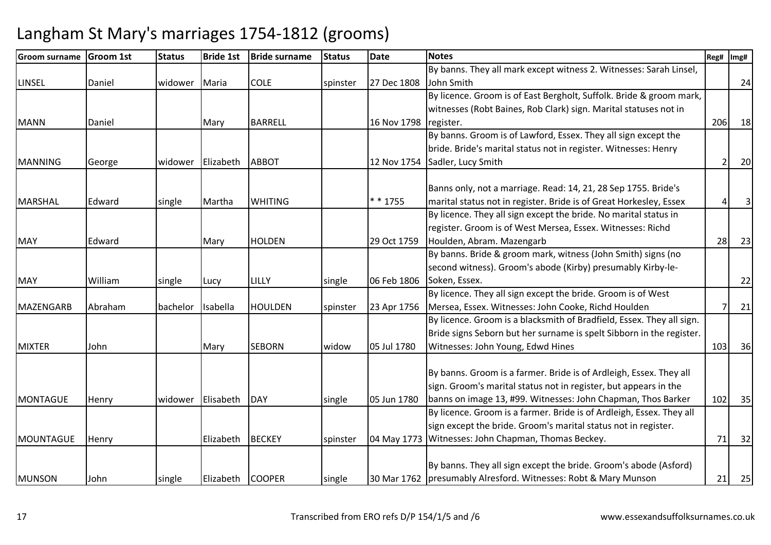| Reg#<br>Img#   | <b>Notes</b>                                                                                                                                                                                                                                                                                                                                                                                                                                                                                                                                     | <b>Date</b> | <b>Status</b>                | <b>Bride surname</b>                         | <b>Bride 1st</b>                    | <b>Status</b>     | <b>Groom 1st</b>       | <b>Groom surname</b>                          |
|----------------|--------------------------------------------------------------------------------------------------------------------------------------------------------------------------------------------------------------------------------------------------------------------------------------------------------------------------------------------------------------------------------------------------------------------------------------------------------------------------------------------------------------------------------------------------|-------------|------------------------------|----------------------------------------------|-------------------------------------|-------------------|------------------------|-----------------------------------------------|
|                | By banns. They all mark except witness 2. Witnesses: Sarah Linsel,                                                                                                                                                                                                                                                                                                                                                                                                                                                                               |             |                              |                                              |                                     |                   |                        |                                               |
| 24             | John Smith                                                                                                                                                                                                                                                                                                                                                                                                                                                                                                                                       | 27 Dec 1808 | spinster                     | <b>COLE</b>                                  | Maria                               | widower           | Daniel                 | <b>LINSEL</b>                                 |
|                | By licence. Groom is of East Bergholt, Suffolk. Bride & groom mark,                                                                                                                                                                                                                                                                                                                                                                                                                                                                              |             |                              |                                              |                                     |                   |                        |                                               |
|                | witnesses (Robt Baines, Rob Clark) sign. Marital statuses not in                                                                                                                                                                                                                                                                                                                                                                                                                                                                                 |             |                              |                                              |                                     |                   |                        |                                               |
| 18<br>206      | register.                                                                                                                                                                                                                                                                                                                                                                                                                                                                                                                                        | 16 Nov 1798 |                              | <b>BARRELL</b>                               | Mary                                |                   | Daniel                 | <b>MANN</b>                                   |
|                | By banns. Groom is of Lawford, Essex. They all sign except the                                                                                                                                                                                                                                                                                                                                                                                                                                                                                   |             |                              |                                              |                                     |                   |                        |                                               |
|                | bride. Bride's marital status not in register. Witnesses: Henry                                                                                                                                                                                                                                                                                                                                                                                                                                                                                  |             |                              |                                              |                                     |                   |                        |                                               |
| 20             | Sadler, Lucy Smith                                                                                                                                                                                                                                                                                                                                                                                                                                                                                                                               | 12 Nov 1754 |                              | <b>ABBOT</b>                                 | Elizabeth                           | widower           | George                 | <b>MANNING</b>                                |
|                | Banns only, not a marriage. Read: 14, 21, 28 Sep 1755. Bride's                                                                                                                                                                                                                                                                                                                                                                                                                                                                                   |             |                              |                                              |                                     |                   |                        |                                               |
| $\overline{3}$ | marital status not in register. Bride is of Great Horkesley, Essex                                                                                                                                                                                                                                                                                                                                                                                                                                                                               | * * 1755    |                              | <b>WHITING</b>                               | Martha                              | single            | Edward                 | <b>MARSHAL</b>                                |
|                | By licence. They all sign except the bride. No marital status in                                                                                                                                                                                                                                                                                                                                                                                                                                                                                 |             |                              |                                              |                                     |                   |                        |                                               |
|                | register. Groom is of West Mersea, Essex. Witnesses: Richd                                                                                                                                                                                                                                                                                                                                                                                                                                                                                       |             |                              |                                              |                                     |                   |                        |                                               |
| 23<br>28       | Houlden, Abram. Mazengarb                                                                                                                                                                                                                                                                                                                                                                                                                                                                                                                        | 29 Oct 1759 |                              | <b>HOLDEN</b>                                | Mary                                |                   | Edward                 | <b>MAY</b>                                    |
|                | By banns. Bride & groom mark, witness (John Smith) signs (no                                                                                                                                                                                                                                                                                                                                                                                                                                                                                     |             |                              |                                              |                                     |                   |                        |                                               |
|                | second witness). Groom's abode (Kirby) presumably Kirby-le-                                                                                                                                                                                                                                                                                                                                                                                                                                                                                      |             |                              |                                              |                                     |                   |                        |                                               |
| 22             | Soken, Essex.                                                                                                                                                                                                                                                                                                                                                                                                                                                                                                                                    | 06 Feb 1806 | single                       | LILLY                                        | Lucy                                | single            | William                | <b>MAY</b>                                    |
|                | By licence. They all sign except the bride. Groom is of West                                                                                                                                                                                                                                                                                                                                                                                                                                                                                     |             |                              |                                              |                                     |                   |                        |                                               |
| 21             | Mersea, Essex. Witnesses: John Cooke, Richd Houlden                                                                                                                                                                                                                                                                                                                                                                                                                                                                                              | 23 Apr 1756 | spinster                     | <b>HOULDEN</b>                               | Isabella                            | bachelor          | Abraham                | <b>MAZENGARB</b>                              |
|                | By licence. Groom is a blacksmith of Bradfield, Essex. They all sign.                                                                                                                                                                                                                                                                                                                                                                                                                                                                            |             |                              |                                              |                                     |                   |                        |                                               |
|                | Bride signs Seborn but her surname is spelt Sibborn in the register.                                                                                                                                                                                                                                                                                                                                                                                                                                                                             |             |                              |                                              |                                     |                   |                        |                                               |
| 103<br>36      | Witnesses: John Young, Edwd Hines                                                                                                                                                                                                                                                                                                                                                                                                                                                                                                                | 05 Jul 1780 | widow                        | <b>SEBORN</b>                                | Mary                                |                   | John                   | <b>MIXTER</b>                                 |
|                |                                                                                                                                                                                                                                                                                                                                                                                                                                                                                                                                                  |             |                              |                                              |                                     |                   |                        |                                               |
|                |                                                                                                                                                                                                                                                                                                                                                                                                                                                                                                                                                  |             |                              |                                              |                                     |                   |                        |                                               |
|                |                                                                                                                                                                                                                                                                                                                                                                                                                                                                                                                                                  |             |                              |                                              |                                     |                   |                        |                                               |
| 35<br>102      |                                                                                                                                                                                                                                                                                                                                                                                                                                                                                                                                                  |             |                              |                                              |                                     |                   |                        |                                               |
|                |                                                                                                                                                                                                                                                                                                                                                                                                                                                                                                                                                  |             |                              |                                              |                                     |                   |                        |                                               |
| 71             |                                                                                                                                                                                                                                                                                                                                                                                                                                                                                                                                                  |             |                              |                                              |                                     |                   |                        |                                               |
| 32             |                                                                                                                                                                                                                                                                                                                                                                                                                                                                                                                                                  |             |                              |                                              |                                     |                   |                        |                                               |
|                |                                                                                                                                                                                                                                                                                                                                                                                                                                                                                                                                                  |             |                              |                                              |                                     |                   |                        |                                               |
| 21<br>25       |                                                                                                                                                                                                                                                                                                                                                                                                                                                                                                                                                  |             |                              |                                              |                                     |                   |                        |                                               |
|                | By banns. Groom is a farmer. Bride is of Ardleigh, Essex. They all<br>sign. Groom's marital status not in register, but appears in the<br>banns on image 13, #99. Witnesses: John Chapman, Thos Barker<br>By licence. Groom is a farmer. Bride is of Ardleigh, Essex. They all<br>sign except the bride. Groom's marital status not in register.<br>04 May 1773 Witnesses: John Chapman, Thomas Beckey.<br>By banns. They all sign except the bride. Groom's abode (Asford)<br>30 Mar 1762   presumably Alresford. Witnesses: Robt & Mary Munson | 05 Jun 1780 | single<br>spinster<br>single | <b>DAY</b><br><b>BECKEY</b><br><b>COOPER</b> | Elisabeth<br>Elizabeth<br>Elizabeth | widower<br>single | Henry<br>Henry<br>John | MONTAGUE<br><b>MOUNTAGUE</b><br><b>MUNSON</b> |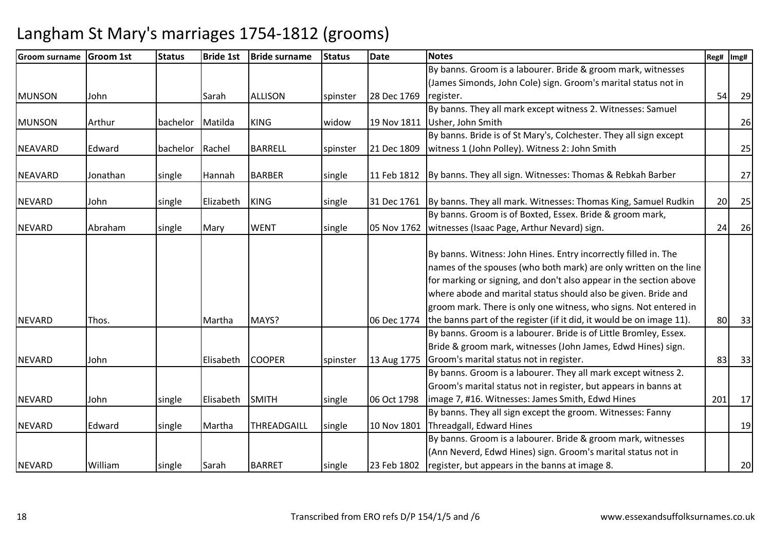| lGroom surname | <b>Groom 1st</b> | <b>Status</b> | <b>Bride 1st</b> | <b>Bride surname</b> | <b>Status</b> | <b>Date</b> | <b>Notes</b>                                                               | Reg# | Img# |
|----------------|------------------|---------------|------------------|----------------------|---------------|-------------|----------------------------------------------------------------------------|------|------|
|                |                  |               |                  |                      |               |             | By banns. Groom is a labourer. Bride & groom mark, witnesses               |      |      |
|                |                  |               |                  |                      |               |             | (James Simonds, John Cole) sign. Groom's marital status not in             |      |      |
| <b>MUNSON</b>  | John             |               | Sarah            | <b>ALLISON</b>       | spinster      | 28 Dec 1769 | register.                                                                  | 54   | 29   |
|                |                  |               |                  |                      |               |             | By banns. They all mark except witness 2. Witnesses: Samuel                |      |      |
| <b>MUNSON</b>  | Arthur           | bachelor      | Matilda          | <b>KING</b>          | widow         | 19 Nov 1811 | Usher, John Smith                                                          |      | 26   |
|                |                  |               |                  |                      |               |             | By banns. Bride is of St Mary's, Colchester. They all sign except          |      |      |
| <b>NEAVARD</b> | Edward           | bachelor      | Rachel           | <b>BARRELL</b>       | spinster      | 21 Dec 1809 | witness 1 (John Polley). Witness 2: John Smith                             |      | 25   |
|                |                  |               |                  |                      |               |             |                                                                            |      |      |
| NEAVARD        | Jonathan         | single        | Hannah           | <b>BARBER</b>        | single        | 11 Feb 1812 | By banns. They all sign. Witnesses: Thomas & Rebkah Barber                 |      | 27   |
|                |                  |               |                  |                      |               |             |                                                                            |      |      |
| <b>NEVARD</b>  | John             | single        | Elizabeth        | <b>KING</b>          | single        |             | 31 Dec 1761 By banns. They all mark. Witnesses: Thomas King, Samuel Rudkin | 20   | 25   |
|                |                  |               |                  |                      |               |             | By banns. Groom is of Boxted, Essex. Bride & groom mark,                   |      |      |
| <b>NEVARD</b>  | Abraham          | single        | Mary             | <b>WENT</b>          | single        | 05 Nov 1762 | witnesses (Isaac Page, Arthur Nevard) sign.                                | 24   | 26   |
|                |                  |               |                  |                      |               |             |                                                                            |      |      |
|                |                  |               |                  |                      |               |             | By banns. Witness: John Hines. Entry incorrectly filled in. The            |      |      |
|                |                  |               |                  |                      |               |             | names of the spouses (who both mark) are only written on the line          |      |      |
|                |                  |               |                  |                      |               |             | for marking or signing, and don't also appear in the section above         |      |      |
|                |                  |               |                  |                      |               |             | where abode and marital status should also be given. Bride and             |      |      |
|                |                  |               |                  |                      |               |             | groom mark. There is only one witness, who signs. Not entered in           |      |      |
| <b>NEVARD</b>  | Thos.            |               | Martha           | MAYS?                |               | 06 Dec 1774 | the banns part of the register (if it did, it would be on image 11).       | 80   | 33   |
|                |                  |               |                  |                      |               |             | By banns. Groom is a labourer. Bride is of Little Bromley, Essex.          |      |      |
|                |                  |               |                  |                      |               |             | Bride & groom mark, witnesses (John James, Edwd Hines) sign.               |      |      |
| <b>NEVARD</b>  | John             |               | Elisabeth        | <b>COOPER</b>        | spinster      | 13 Aug 1775 | Groom's marital status not in register.                                    | 83   | 33   |
|                |                  |               |                  |                      |               |             | By banns. Groom is a labourer. They all mark except witness 2.             |      |      |
|                |                  |               |                  |                      |               |             | Groom's marital status not in register, but appears in banns at            |      |      |
| <b>NEVARD</b>  | John             | single        | Elisabeth        | <b>SMITH</b>         | single        | 06 Oct 1798 | image 7, #16. Witnesses: James Smith, Edwd Hines                           | 201  | 17   |
|                |                  |               |                  |                      |               |             | By banns. They all sign except the groom. Witnesses: Fanny                 |      |      |
| <b>NEVARD</b>  | Edward           | single        | Martha           | THREADGAILL          | single        | 10 Nov 1801 | Threadgall, Edward Hines                                                   |      | 19   |
|                |                  |               |                  |                      |               |             | By banns. Groom is a labourer. Bride & groom mark, witnesses               |      |      |
|                |                  |               |                  |                      |               |             | (Ann Neverd, Edwd Hines) sign. Groom's marital status not in               |      |      |
| <b>NEVARD</b>  | William          | single        | Sarah            | <b>BARRET</b>        | single        | 23 Feb 1802 | register, but appears in the banns at image 8.                             |      | 20   |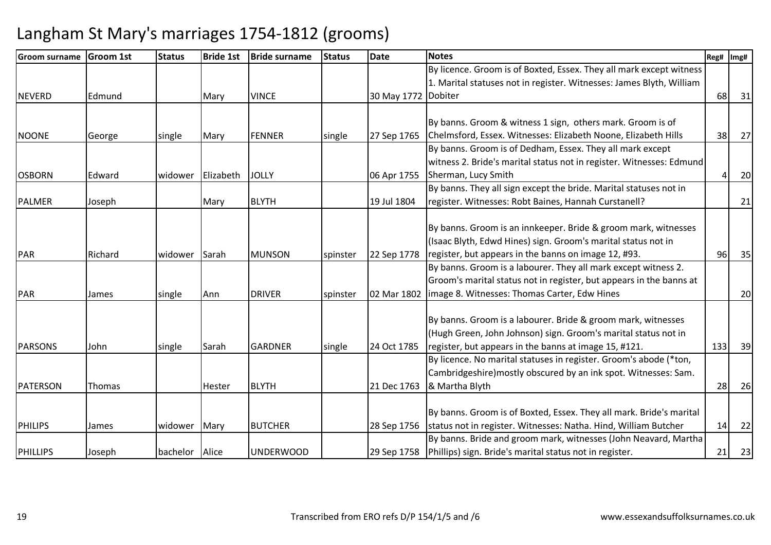| <b>Groom surname</b> | <b>Groom 1st</b> | <b>Status</b> | <b>Bride 1st</b> | <b>Bride surname</b> | <b>Status</b> | <b>Date</b>         | <b>Notes</b>                                                          | Reg# | Img# |
|----------------------|------------------|---------------|------------------|----------------------|---------------|---------------------|-----------------------------------------------------------------------|------|------|
|                      |                  |               |                  |                      |               |                     | By licence. Groom is of Boxted, Essex. They all mark except witness   |      |      |
|                      |                  |               |                  |                      |               |                     | 1. Marital statuses not in register. Witnesses: James Blyth, William  |      |      |
| <b>NEVERD</b>        | Edmund           |               | Mary             | <b>VINCE</b>         |               | 30 May 1772 Dobiter |                                                                       | 68   | 31   |
|                      |                  |               |                  |                      |               |                     |                                                                       |      |      |
|                      |                  |               |                  |                      |               |                     | By banns. Groom & witness 1 sign, others mark. Groom is of            |      |      |
| <b>NOONE</b>         | George           | single        | Mary             | <b>FENNER</b>        | single        | 27 Sep 1765         | Chelmsford, Essex. Witnesses: Elizabeth Noone, Elizabeth Hills        | 38   | 27   |
|                      |                  |               |                  |                      |               |                     | By banns. Groom is of Dedham, Essex. They all mark except             |      |      |
|                      |                  |               |                  |                      |               |                     | witness 2. Bride's marital status not in register. Witnesses: Edmund  |      |      |
| <b>OSBORN</b>        | Edward           | widower       | Elizabeth        | <b>JOLLY</b>         |               | 06 Apr 1755         | Sherman, Lucy Smith                                                   |      | 20   |
|                      |                  |               |                  |                      |               |                     | By banns. They all sign except the bride. Marital statuses not in     |      |      |
| <b>PALMER</b>        | Joseph           |               | Mary             | <b>BLYTH</b>         |               | 19 Jul 1804         | register. Witnesses: Robt Baines, Hannah Curstanell?                  |      | 21   |
|                      |                  |               |                  |                      |               |                     |                                                                       |      |      |
|                      |                  |               |                  |                      |               |                     | By banns. Groom is an innkeeper. Bride & groom mark, witnesses        |      |      |
|                      |                  |               |                  |                      |               |                     | (Isaac Blyth, Edwd Hines) sign. Groom's marital status not in         |      |      |
| <b>PAR</b>           | Richard          | widower       | Sarah            | <b>MUNSON</b>        | spinster      | 22 Sep 1778         | register, but appears in the banns on image 12, #93.                  | 96   | 35   |
|                      |                  |               |                  |                      |               |                     | By banns. Groom is a labourer. They all mark except witness 2.        |      |      |
|                      |                  |               |                  |                      |               |                     | Groom's marital status not in register, but appears in the banns at   |      |      |
| PAR                  | James            | single        | Ann              | <b>DRIVER</b>        | spinster      | 02 Mar 1802         | image 8. Witnesses: Thomas Carter, Edw Hines                          |      | 20   |
|                      |                  |               |                  |                      |               |                     |                                                                       |      |      |
|                      |                  |               |                  |                      |               |                     | By banns. Groom is a labourer. Bride & groom mark, witnesses          |      |      |
|                      |                  |               |                  |                      |               |                     | (Hugh Green, John Johnson) sign. Groom's marital status not in        |      |      |
| <b>PARSONS</b>       | John             | single        | Sarah            | <b>GARDNER</b>       | single        | 24 Oct 1785         | register, but appears in the banns at image 15, #121.                 | 133  | 39   |
|                      |                  |               |                  |                      |               |                     | By licence. No marital statuses in register. Groom's abode (*ton,     |      |      |
|                      |                  |               |                  |                      |               |                     | Cambridgeshire) mostly obscured by an ink spot. Witnesses: Sam.       |      |      |
| PATERSON             | Thomas           |               | <b>Hester</b>    | <b>BLYTH</b>         |               | 21 Dec 1763         | & Martha Blyth                                                        | 28   | 26   |
|                      |                  |               |                  |                      |               |                     |                                                                       |      |      |
|                      |                  |               |                  |                      |               |                     | By banns. Groom is of Boxted, Essex. They all mark. Bride's marital   |      |      |
| <b>PHILIPS</b>       | James            | widower       | Mary             | <b>BUTCHER</b>       |               | 28 Sep 1756         | status not in register. Witnesses: Natha. Hind, William Butcher       | 14   | 22   |
|                      |                  |               |                  |                      |               |                     | By banns. Bride and groom mark, witnesses (John Neavard, Martha       |      |      |
| PHILLIPS             | Joseph           | bachelor      | Alice            | <b>UNDERWOOD</b>     |               |                     | 29 Sep 1758   Phillips) sign. Bride's marital status not in register. | 21   | 23   |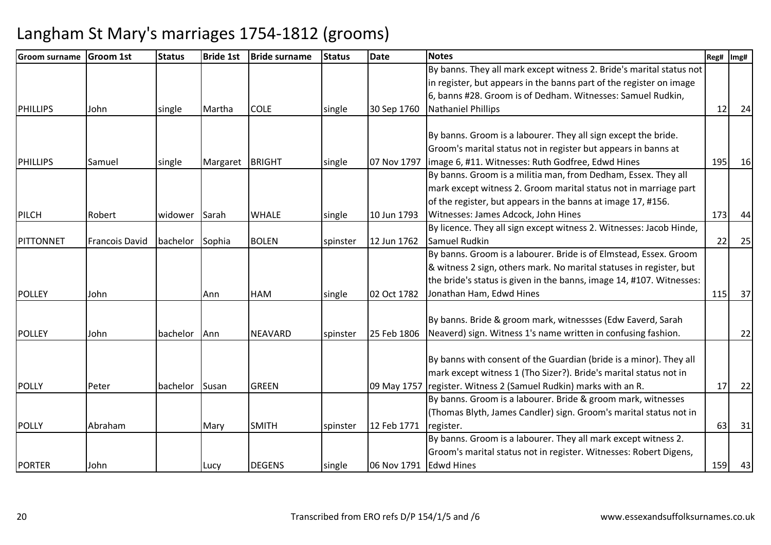| <b>Groom surname</b> | <b>Groom 1st</b>      | <b>Status</b> | <b>Bride 1st</b> | <b>Bride surname</b> | <b>Status</b> | <b>Date</b>            | <b>Notes</b>                                                         | Reg# | Img# |
|----------------------|-----------------------|---------------|------------------|----------------------|---------------|------------------------|----------------------------------------------------------------------|------|------|
|                      |                       |               |                  |                      |               |                        | By banns. They all mark except witness 2. Bride's marital status not |      |      |
|                      |                       |               |                  |                      |               |                        | in register, but appears in the banns part of the register on image  |      |      |
|                      |                       |               |                  |                      |               |                        | 6, banns #28. Groom is of Dedham. Witnesses: Samuel Rudkin,          |      |      |
| <b>PHILLIPS</b>      | John                  | single        | Martha           | <b>COLE</b>          | single        | 30 Sep 1760            | <b>Nathaniel Phillips</b>                                            | 12   | 24   |
|                      |                       |               |                  |                      |               |                        |                                                                      |      |      |
|                      |                       |               |                  |                      |               |                        | By banns. Groom is a labourer. They all sign except the bride.       |      |      |
|                      |                       |               |                  |                      |               |                        | Groom's marital status not in register but appears in banns at       |      |      |
| <b>PHILLIPS</b>      | Samuel                | single        | Margaret         | <b>BRIGHT</b>        | single        | 07 Nov 1797            | image 6, #11. Witnesses: Ruth Godfree, Edwd Hines                    | 195  | 16   |
|                      |                       |               |                  |                      |               |                        | By banns. Groom is a militia man, from Dedham, Essex. They all       |      |      |
|                      |                       |               |                  |                      |               |                        | mark except witness 2. Groom marital status not in marriage part     |      |      |
|                      |                       |               |                  |                      |               |                        | of the register, but appears in the banns at image 17, #156.         |      |      |
| <b>PILCH</b>         | Robert                | widower       | Sarah            | <b>WHALE</b>         | single        | 10 Jun 1793            | Witnesses: James Adcock, John Hines                                  | 173  | 44   |
|                      |                       |               |                  |                      |               |                        | By licence. They all sign except witness 2. Witnesses: Jacob Hinde,  |      |      |
| PITTONNET            | <b>Francois David</b> | bachelor      | Sophia           | <b>BOLEN</b>         | spinster      | 12 Jun 1762            | Samuel Rudkin                                                        | 22   | 25   |
|                      |                       |               |                  |                      |               |                        | By banns. Groom is a labourer. Bride is of Elmstead, Essex. Groom    |      |      |
|                      |                       |               |                  |                      |               |                        | & witness 2 sign, others mark. No marital statuses in register, but  |      |      |
|                      |                       |               |                  |                      |               |                        | the bride's status is given in the banns, image 14, #107. Witnesses: |      |      |
| <b>POLLEY</b>        | John                  |               | Ann              | <b>HAM</b>           | single        | 02 Oct 1782            | Jonathan Ham, Edwd Hines                                             | 115  | 37   |
|                      |                       |               |                  |                      |               |                        |                                                                      |      |      |
|                      |                       |               |                  |                      |               |                        | By banns. Bride & groom mark, witnessses (Edw Eaverd, Sarah          |      |      |
| <b>POLLEY</b>        | John                  | bachelor      | Ann              | <b>NEAVARD</b>       | spinster      | 25 Feb 1806            | Neaverd) sign. Witness 1's name written in confusing fashion.        |      | 22   |
|                      |                       |               |                  |                      |               |                        | By banns with consent of the Guardian (bride is a minor). They all   |      |      |
|                      |                       |               |                  |                      |               |                        | mark except witness 1 (Tho Sizer?). Bride's marital status not in    |      |      |
| <b>POLLY</b>         | Peter                 | bachelor      | Susan            | <b>GREEN</b>         |               | 09 May 1757            | register. Witness 2 (Samuel Rudkin) marks with an R.                 | 17   | 22   |
|                      |                       |               |                  |                      |               |                        | By banns. Groom is a labourer. Bride & groom mark, witnesses         |      |      |
|                      |                       |               |                  |                      |               |                        | (Thomas Blyth, James Candler) sign. Groom's marital status not in    |      |      |
| <b>POLLY</b>         | Abraham               |               | Mary             | <b>SMITH</b>         | spinster      | 12 Feb 1771            | register.                                                            | 63   | 31   |
|                      |                       |               |                  |                      |               |                        | By banns. Groom is a labourer. They all mark except witness 2.       |      |      |
|                      |                       |               |                  |                      |               |                        | Groom's marital status not in register. Witnesses: Robert Digens,    |      |      |
| <b>PORTER</b>        | John                  |               | Lucy             | <b>DEGENS</b>        | single        | 06 Nov 1791 Edwd Hines |                                                                      | 159  | 43   |
|                      |                       |               |                  |                      |               |                        |                                                                      |      |      |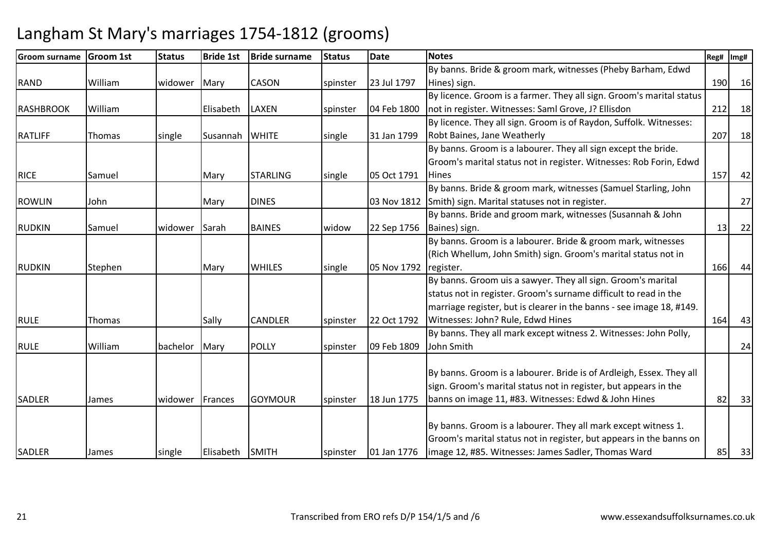| <b>Groom surname</b> | <b>Groom 1st</b> | <b>Status</b> | <b>Bride 1st</b> | <b>Bride surname</b> | <b>Status</b> | <b>Date</b> | <b>Notes</b>                                                         | Reg# | Img# |
|----------------------|------------------|---------------|------------------|----------------------|---------------|-------------|----------------------------------------------------------------------|------|------|
|                      |                  |               |                  |                      |               |             | By banns. Bride & groom mark, witnesses (Pheby Barham, Edwd          |      |      |
| <b>RAND</b>          | William          | widower       | Mary             | CASON                | spinster      | 23 Jul 1797 | Hines) sign.                                                         | 190  | 16   |
|                      |                  |               |                  |                      |               |             | By licence. Groom is a farmer. They all sign. Groom's marital status |      |      |
| <b>RASHBROOK</b>     | William          |               | Elisabeth        | <b>LAXEN</b>         | spinster      | 04 Feb 1800 | not in register. Witnesses: Saml Grove, J? Ellisdon                  | 212  | 18   |
|                      |                  |               |                  |                      |               |             | By licence. They all sign. Groom is of Raydon, Suffolk. Witnesses:   |      |      |
| <b>RATLIFF</b>       | Thomas           | single        | Susannah         | <b>WHITE</b>         | single        | 31 Jan 1799 | Robt Baines, Jane Weatherly                                          | 207  | 18   |
|                      |                  |               |                  |                      |               |             | By banns. Groom is a labourer. They all sign except the bride.       |      |      |
|                      |                  |               |                  |                      |               |             | Groom's marital status not in register. Witnesses: Rob Forin, Edwd   |      |      |
| <b>RICE</b>          | Samuel           |               | Mary             | <b>STARLING</b>      | single        | 05 Oct 1791 | <b>Hines</b>                                                         | 157  | 42   |
|                      |                  |               |                  |                      |               |             | By banns. Bride & groom mark, witnesses (Samuel Starling, John       |      |      |
| <b>ROWLIN</b>        | John             |               | Mary             | <b>DINES</b>         |               | 03 Nov 1812 | Smith) sign. Marital statuses not in register.                       |      | 27   |
|                      |                  |               |                  |                      |               |             | By banns. Bride and groom mark, witnesses (Susannah & John           |      |      |
| <b>RUDKIN</b>        | Samuel           | widower       | Sarah            | <b>BAINES</b>        | widow         | 22 Sep 1756 | Baines) sign.                                                        | 13   | 22   |
|                      |                  |               |                  |                      |               |             | By banns. Groom is a labourer. Bride & groom mark, witnesses         |      |      |
|                      |                  |               |                  |                      |               |             | (Rich Whellum, John Smith) sign. Groom's marital status not in       |      |      |
| <b>RUDKIN</b>        | Stephen          |               | Mary             | <b>WHILES</b>        | single        | 05 Nov 1792 | register.                                                            | 166  | 44   |
|                      |                  |               |                  |                      |               |             | By banns. Groom uis a sawyer. They all sign. Groom's marital         |      |      |
|                      |                  |               |                  |                      |               |             | status not in register. Groom's surname difficult to read in the     |      |      |
|                      |                  |               |                  |                      |               |             | marriage register, but is clearer in the banns - see image 18, #149. |      |      |
| <b>RULE</b>          | Thomas           |               | Sally            | <b>CANDLER</b>       | spinster      | 22 Oct 1792 | Witnesses: John? Rule, Edwd Hines                                    | 164  | 43   |
|                      |                  |               |                  |                      |               |             | By banns. They all mark except witness 2. Witnesses: John Polly,     |      |      |
| <b>RULE</b>          | William          | bachelor      | Mary             | <b>POLLY</b>         | spinster      | 09 Feb 1809 | John Smith                                                           |      | 24   |
|                      |                  |               |                  |                      |               |             |                                                                      |      |      |
|                      |                  |               |                  |                      |               |             | By banns. Groom is a labourer. Bride is of Ardleigh, Essex. They all |      |      |
|                      |                  |               |                  |                      |               |             | sign. Groom's marital status not in register, but appears in the     |      |      |
| <b>SADLER</b>        | James            | widower       | Frances          | <b>GOYMOUR</b>       | spinster      | 18 Jun 1775 | banns on image 11, #83. Witnesses: Edwd & John Hines                 | 82   | 33   |
|                      |                  |               |                  |                      |               |             |                                                                      |      |      |
|                      |                  |               |                  |                      |               |             | By banns. Groom is a labourer. They all mark except witness 1.       |      |      |
|                      |                  |               |                  |                      |               |             | Groom's marital status not in register, but appears in the banns on  |      |      |
| <b>SADLER</b>        | James            | single        | Elisabeth SMITH  |                      | spinster      | 01 Jan 1776 | image 12, #85. Witnesses: James Sadler, Thomas Ward                  | 85   | 33   |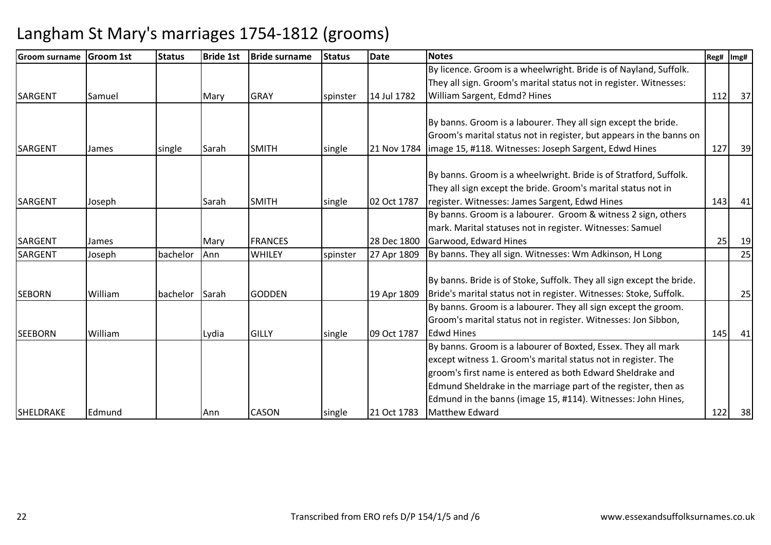| <b>IGroom surname</b> | <b>Groom 1st</b> | <b>Status</b> | <b>Bride 1st</b> | <b>Bride surname</b> | <b>Status</b> | <b>Date</b> | <b>Notes</b>                                                          | Reg# | Img# |
|-----------------------|------------------|---------------|------------------|----------------------|---------------|-------------|-----------------------------------------------------------------------|------|------|
|                       |                  |               |                  |                      |               |             | By licence. Groom is a wheelwright. Bride is of Nayland, Suffolk.     |      |      |
|                       |                  |               |                  |                      |               |             | They all sign. Groom's marital status not in register. Witnesses:     |      |      |
| <b>SARGENT</b>        | Samuel           |               | Mary             | <b>GRAY</b>          | spinster      | 14 Jul 1782 | William Sargent, Edmd? Hines                                          | 112  | 37   |
|                       |                  |               |                  |                      |               |             |                                                                       |      |      |
|                       |                  |               |                  |                      |               |             | By banns. Groom is a labourer. They all sign except the bride.        |      |      |
|                       |                  |               |                  |                      |               |             | Groom's marital status not in register, but appears in the banns on   |      |      |
| <b>SARGENT</b>        | James            | single        | Sarah            | <b>SMITH</b>         | single        | 21 Nov 1784 | limage 15, #118. Witnesses: Joseph Sargent, Edwd Hines                | 127  | 39   |
|                       |                  |               |                  |                      |               |             |                                                                       |      |      |
|                       |                  |               |                  |                      |               |             | By banns. Groom is a wheelwright. Bride is of Stratford, Suffolk.     |      |      |
|                       |                  |               |                  |                      |               |             | They all sign except the bride. Groom's marital status not in         |      |      |
| <b>SARGENT</b>        | Joseph           |               | Sarah            | <b>SMITH</b>         | single        | 02 Oct 1787 | register. Witnesses: James Sargent, Edwd Hines                        | 143  | 41   |
|                       |                  |               |                  |                      |               |             | By banns. Groom is a labourer. Groom & witness 2 sign, others         |      |      |
|                       |                  |               |                  |                      |               |             | mark. Marital statuses not in register. Witnesses: Samuel             |      |      |
| <b>SARGENT</b>        | James            |               | Mary             | <b>FRANCES</b>       |               | 28 Dec 1800 | Garwood, Edward Hines                                                 | 25   | 19   |
| <b>SARGENT</b>        | Joseph           | bachelor      | Ann              | WHILEY               | spinster      | 27 Apr 1809 | By banns. They all sign. Witnesses: Wm Adkinson, H Long               |      | 25   |
|                       |                  |               |                  |                      |               |             |                                                                       |      |      |
|                       |                  |               |                  |                      |               |             | By banns. Bride is of Stoke, Suffolk. They all sign except the bride. |      |      |
| <b>SEBORN</b>         | William          | bachelor      | Sarah            | <b>GODDEN</b>        |               | 19 Apr 1809 | Bride's marital status not in register. Witnesses: Stoke, Suffolk.    |      | 25   |
|                       |                  |               |                  |                      |               |             | By banns. Groom is a labourer. They all sign except the groom.        |      |      |
|                       |                  |               |                  |                      |               |             | Groom's marital status not in register. Witnesses: Jon Sibbon,        |      |      |
| <b>SEEBORN</b>        | William          |               | Lydia            | <b>GILLY</b>         | single        | 09 Oct 1787 | <b>Edwd Hines</b>                                                     | 145  | 41   |
|                       |                  |               |                  |                      |               |             | By banns. Groom is a labourer of Boxted, Essex. They all mark         |      |      |
|                       |                  |               |                  |                      |               |             | except witness 1. Groom's marital status not in register. The         |      |      |
|                       |                  |               |                  |                      |               |             | groom's first name is entered as both Edward Sheldrake and            |      |      |
|                       |                  |               |                  |                      |               |             | Edmund Sheldrake in the marriage part of the register, then as        |      |      |
|                       |                  |               |                  |                      |               |             | Edmund in the banns (image 15, #114). Witnesses: John Hines,          |      |      |
| SHELDRAKE             | Edmund           |               | Ann              | CASON                | single        | 21 Oct 1783 | Matthew Edward                                                        | 122  | 38   |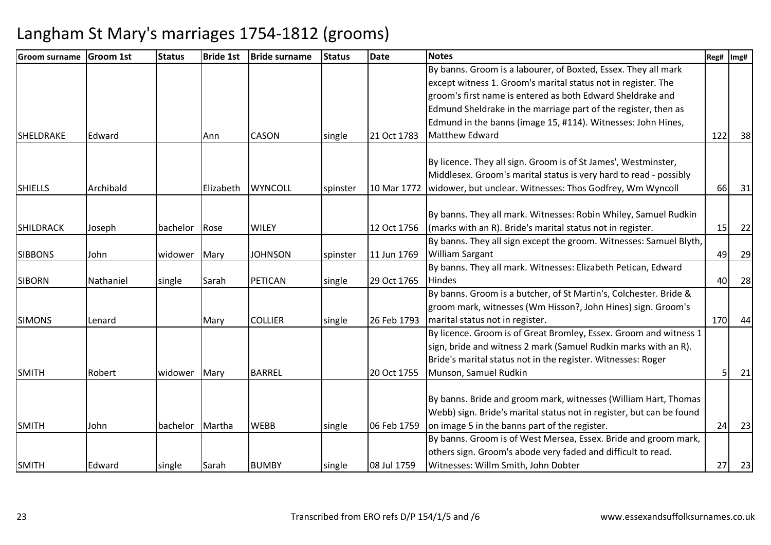| <b>Groom surname</b> | <b>Groom 1st</b> | <b>Status</b> | <b>Bride 1st</b> | <b>Bride surname</b> | <b>Status</b> | <b>Date</b> | <b>Notes</b>                                                         | Reg# | Img# |
|----------------------|------------------|---------------|------------------|----------------------|---------------|-------------|----------------------------------------------------------------------|------|------|
|                      |                  |               |                  |                      |               |             | By banns. Groom is a labourer, of Boxted, Essex. They all mark       |      |      |
|                      |                  |               |                  |                      |               |             | except witness 1. Groom's marital status not in register. The        |      |      |
|                      |                  |               |                  |                      |               |             | groom's first name is entered as both Edward Sheldrake and           |      |      |
|                      |                  |               |                  |                      |               |             | Edmund Sheldrake in the marriage part of the register, then as       |      |      |
|                      |                  |               |                  |                      |               |             | Edmund in the banns (image 15, #114). Witnesses: John Hines,         |      |      |
| <b>SHELDRAKE</b>     | Edward           |               | Ann              | <b>CASON</b>         | single        | 21 Oct 1783 | Matthew Edward                                                       | 122  | 38   |
|                      |                  |               |                  |                      |               |             | By licence. They all sign. Groom is of St James', Westminster,       |      |      |
|                      |                  |               |                  |                      |               |             | Middlesex. Groom's marital status is very hard to read - possibly    |      |      |
| <b>SHIELLS</b>       | Archibald        |               | Elizabeth        | <b>WYNCOLL</b>       |               |             |                                                                      |      |      |
|                      |                  |               |                  |                      | spinster      | 10 Mar 1772 | widower, but unclear. Witnesses: Thos Godfrey, Wm Wyncoll            | 66   | 31   |
|                      |                  |               |                  |                      |               |             | By banns. They all mark. Witnesses: Robin Whiley, Samuel Rudkin      |      |      |
| <b>SHILDRACK</b>     | Joseph           | bachelor      | Rose             | <b>WILEY</b>         |               | 12 Oct 1756 | (marks with an R). Bride's marital status not in register.           | 15   | 22   |
|                      |                  |               |                  |                      |               |             | By banns. They all sign except the groom. Witnesses: Samuel Blyth,   |      |      |
| <b>SIBBONS</b>       | John             | widower       | Mary             | <b>JOHNSON</b>       | spinster      | 11 Jun 1769 | <b>William Sargant</b>                                               | 49   | 29   |
|                      |                  |               |                  |                      |               |             | By banns. They all mark. Witnesses: Elizabeth Petican, Edward        |      |      |
| <b>SIBORN</b>        | Nathaniel        | single        | Sarah            | PETICAN              | single        | 29 Oct 1765 | <b>Hindes</b>                                                        | 40   | 28   |
|                      |                  |               |                  |                      |               |             | By banns. Groom is a butcher, of St Martin's, Colchester. Bride &    |      |      |
|                      |                  |               |                  |                      |               |             | groom mark, witnesses (Wm Hisson?, John Hines) sign. Groom's         |      |      |
| <b>SIMONS</b>        | Lenard           |               | Mary             | <b>COLLIER</b>       | single        | 26 Feb 1793 | marital status not in register.                                      | 170  | 44   |
|                      |                  |               |                  |                      |               |             | By licence. Groom is of Great Bromley, Essex. Groom and witness 1    |      |      |
|                      |                  |               |                  |                      |               |             | sign, bride and witness 2 mark (Samuel Rudkin marks with an R).      |      |      |
|                      |                  |               |                  |                      |               |             | Bride's marital status not in the register. Witnesses: Roger         |      |      |
| <b>SMITH</b>         | Robert           | widower       | Mary             | <b>BARREL</b>        |               | 20 Oct 1755 | Munson, Samuel Rudkin                                                |      | 21   |
|                      |                  |               |                  |                      |               |             |                                                                      |      |      |
|                      |                  |               |                  |                      |               |             | By banns. Bride and groom mark, witnesses (William Hart, Thomas      |      |      |
|                      |                  |               |                  |                      |               |             | Webb) sign. Bride's marital status not in register, but can be found |      |      |
| <b>SMITH</b>         | John             | bachelor      | Martha           | <b>WEBB</b>          | single        | 06 Feb 1759 | on image 5 in the banns part of the register.                        | 24   | 23   |
|                      |                  |               |                  |                      |               |             | By banns. Groom is of West Mersea, Essex. Bride and groom mark,      |      |      |
|                      |                  |               |                  |                      |               |             | others sign. Groom's abode very faded and difficult to read.         |      |      |
| <b>SMITH</b>         | Edward           | single        | Sarah            | <b>BUMBY</b>         | single        | 08 Jul 1759 | Witnesses: Willm Smith, John Dobter                                  | 27   | 23   |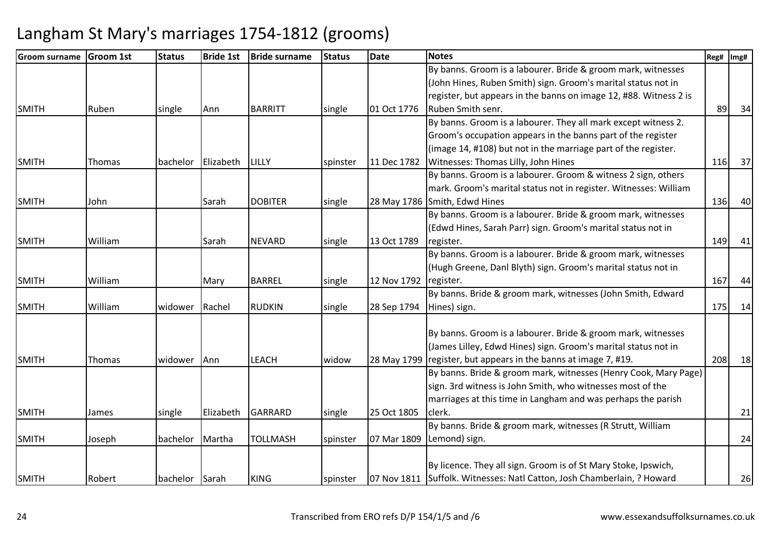| <b>Groom surname</b> | <b>Groom 1st</b> | <b>Status</b>  | <b>Bride 1st</b> | <b>Bride surname</b> | <b>Status</b> | <b>Date</b> | <b>Notes</b>                                                            | Reg# | Img# |
|----------------------|------------------|----------------|------------------|----------------------|---------------|-------------|-------------------------------------------------------------------------|------|------|
|                      |                  |                |                  |                      |               |             | By banns. Groom is a labourer. Bride & groom mark, witnesses            |      |      |
|                      |                  |                |                  |                      |               |             | (John Hines, Ruben Smith) sign. Groom's marital status not in           |      |      |
|                      |                  |                |                  |                      |               |             | register, but appears in the banns on image 12, #88. Witness 2 is       |      |      |
| <b>SMITH</b>         | Ruben            | single         | Ann              | <b>BARRITT</b>       | single        | 01 Oct 1776 | Ruben Smith senr.                                                       | 89   | 34   |
|                      |                  |                |                  |                      |               |             | By banns. Groom is a labourer. They all mark except witness 2.          |      |      |
|                      |                  |                |                  |                      |               |             | Groom's occupation appears in the banns part of the register            |      |      |
|                      |                  |                |                  |                      |               |             | (image 14, #108) but not in the marriage part of the register.          |      |      |
| <b>SMITH</b>         | Thomas           | bachelor       | Elizabeth        | <b>LILLY</b>         | spinster      | 11 Dec 1782 | Witnesses: Thomas Lilly, John Hines                                     | 116  | 37   |
|                      |                  |                |                  |                      |               |             | By banns. Groom is a labourer. Groom & witness 2 sign, others           |      |      |
|                      |                  |                |                  |                      |               |             | mark. Groom's marital status not in register. Witnesses: William        |      |      |
| <b>SMITH</b>         | John             |                | Sarah            | <b>DOBITER</b>       | single        |             | 28 May 1786 Smith, Edwd Hines                                           | 136  | 40   |
|                      |                  |                |                  |                      |               |             | By banns. Groom is a labourer. Bride & groom mark, witnesses            |      |      |
|                      |                  |                |                  |                      |               |             | (Edwd Hines, Sarah Parr) sign. Groom's marital status not in            |      |      |
| <b>SMITH</b>         | William          |                | Sarah            | <b>NEVARD</b>        | single        | 13 Oct 1789 | register.                                                               | 149  | 41   |
|                      |                  |                |                  |                      |               |             | By banns. Groom is a labourer. Bride & groom mark, witnesses            |      |      |
|                      |                  |                |                  |                      |               |             | (Hugh Greene, Danl Blyth) sign. Groom's marital status not in           |      |      |
| <b>SMITH</b>         | William          |                | Mary             | <b>BARREL</b>        | single        | 12 Nov 1792 | register.                                                               | 167  | 44   |
|                      |                  |                |                  |                      |               |             | By banns. Bride & groom mark, witnesses (John Smith, Edward             |      |      |
| <b>SMITH</b>         | William          | widower        | Rachel           | <b>RUDKIN</b>        | single        | 28 Sep 1794 | Hines) sign.                                                            | 175  | 14   |
|                      |                  |                |                  |                      |               |             | By banns. Groom is a labourer. Bride & groom mark, witnesses            |      |      |
|                      |                  |                |                  |                      |               |             | (James Lilley, Edwd Hines) sign. Groom's marital status not in          |      |      |
| <b>SMITH</b>         | Thomas           | widower        | Ann              | <b>LEACH</b>         | widow         |             | 28 May 1799   register, but appears in the banns at image 7, #19.       | 208  | 18   |
|                      |                  |                |                  |                      |               |             | By banns. Bride & groom mark, witnesses (Henry Cook, Mary Page)         |      |      |
|                      |                  |                |                  |                      |               |             | sign. 3rd witness is John Smith, who witnesses most of the              |      |      |
|                      |                  |                |                  |                      |               |             | marriages at this time in Langham and was perhaps the parish            |      |      |
| <b>SMITH</b>         | James            | single         | Elizabeth        | <b>GARRARD</b>       | single        | 25 Oct 1805 | clerk.                                                                  |      | 21   |
|                      |                  |                |                  |                      |               |             | By banns. Bride & groom mark, witnesses (R Strutt, William              |      |      |
| <b>SMITH</b>         | Joseph           | bachelor       | Martha           | <b>TOLLMASH</b>      | spinster      | 07 Mar 1809 | Lemond) sign.                                                           |      | 24   |
|                      |                  |                |                  |                      |               |             | By licence. They all sign. Groom is of St Mary Stoke, Ipswich,          |      |      |
| <b>SMITH</b>         | Robert           | bachelor Sarah |                  | <b>KING</b>          |               |             | 07 Nov 1811 Suffolk. Witnesses: Natl Catton, Josh Chamberlain, ? Howard |      | 26   |
|                      |                  |                |                  |                      | spinster      |             |                                                                         |      |      |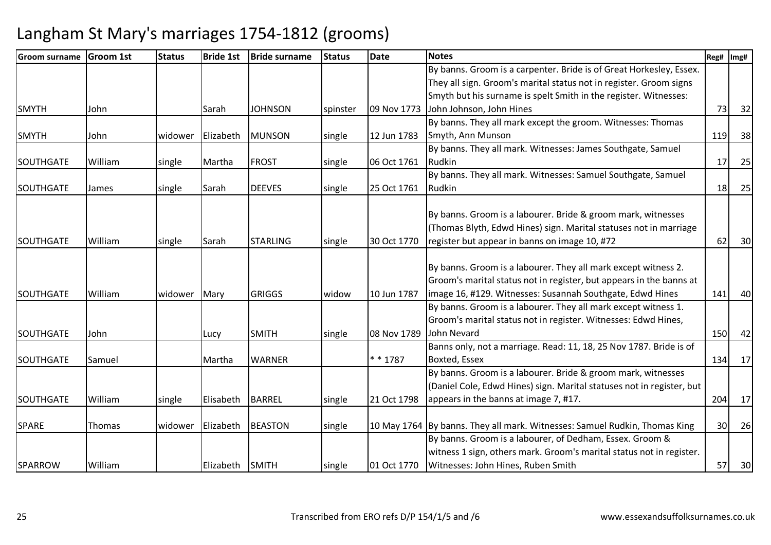| Groom surname    | <b>Groom 1st</b> | <b>Status</b> | <b>Bride 1st</b> | <b>Bride surname</b> | <b>Status</b> | <b>Date</b> | <b>Notes</b>                                                               | Reg#            | Img# |
|------------------|------------------|---------------|------------------|----------------------|---------------|-------------|----------------------------------------------------------------------------|-----------------|------|
|                  |                  |               |                  |                      |               |             | By banns. Groom is a carpenter. Bride is of Great Horkesley, Essex.        |                 |      |
|                  |                  |               |                  |                      |               |             | They all sign. Groom's marital status not in register. Groom signs         |                 |      |
|                  |                  |               |                  |                      |               |             | Smyth but his surname is spelt Smith in the register. Witnesses:           |                 |      |
| <b>SMYTH</b>     | John             |               | Sarah            | <b>JOHNSON</b>       | spinster      | 09 Nov 1773 | John Johnson, John Hines                                                   | 73              | 32   |
|                  |                  |               |                  |                      |               |             | By banns. They all mark except the groom. Witnesses: Thomas                |                 |      |
| <b>SMYTH</b>     | John             | widower       | Elizabeth        | <b>MUNSON</b>        | single        | 12 Jun 1783 | Smyth, Ann Munson                                                          | 119             | 38   |
|                  |                  |               |                  |                      |               |             | By banns. They all mark. Witnesses: James Southgate, Samuel                |                 |      |
| SOUTHGATE        | William          | single        | Martha           | <b>FROST</b>         | single        | 06 Oct 1761 | Rudkin                                                                     | 17              | 25   |
|                  |                  |               |                  |                      |               |             | By banns. They all mark. Witnesses: Samuel Southgate, Samuel               |                 |      |
| <b>SOUTHGATE</b> | James            | single        | Sarah            | <b>DEEVES</b>        | single        | 25 Oct 1761 | Rudkin                                                                     | 18              | 25   |
|                  |                  |               |                  |                      |               |             |                                                                            |                 |      |
|                  |                  |               |                  |                      |               |             | By banns. Groom is a labourer. Bride & groom mark, witnesses               |                 |      |
|                  |                  |               |                  |                      |               |             | (Thomas Blyth, Edwd Hines) sign. Marital statuses not in marriage          |                 |      |
| <b>SOUTHGATE</b> | William          | single        | Sarah            | <b>STARLING</b>      | single        | 30 Oct 1770 | register but appear in banns on image 10, #72                              | 62              | 30   |
|                  |                  |               |                  |                      |               |             |                                                                            |                 |      |
|                  |                  |               |                  |                      |               |             | By banns. Groom is a labourer. They all mark except witness 2.             |                 |      |
|                  |                  |               |                  |                      |               |             | Groom's marital status not in register, but appears in the banns at        |                 |      |
| <b>SOUTHGATE</b> | William          | widower       | Mary             | <b>GRIGGS</b>        | widow         | 10 Jun 1787 | image 16, #129. Witnesses: Susannah Southgate, Edwd Hines                  | 141             | 40   |
|                  |                  |               |                  |                      |               |             | By banns. Groom is a labourer. They all mark except witness 1.             |                 |      |
|                  |                  |               |                  |                      |               |             | Groom's marital status not in register. Witnesses: Edwd Hines,             |                 |      |
| <b>SOUTHGATE</b> | John             |               | Lucy             | <b>SMITH</b>         | single        | 08 Nov 1789 | John Nevard                                                                | 150             | 42   |
|                  |                  |               |                  |                      |               |             | Banns only, not a marriage. Read: 11, 18, 25 Nov 1787. Bride is of         |                 |      |
| <b>SOUTHGATE</b> | Samuel           |               | Martha           | <b>WARNER</b>        |               | $* * 1787$  | Boxted, Essex                                                              | 134             | 17   |
|                  |                  |               |                  |                      |               |             | By banns. Groom is a labourer. Bride & groom mark, witnesses               |                 |      |
|                  |                  |               |                  |                      |               |             | (Daniel Cole, Edwd Hines) sign. Marital statuses not in register, but      |                 |      |
| SOUTHGATE        | William          | single        | Elisabeth        | <b>BARREL</b>        | single        | 21 Oct 1798 | appears in the banns at image 7, #17.                                      | 204             | 17   |
|                  |                  |               |                  |                      |               |             |                                                                            |                 |      |
| <b>SPARE</b>     | Thomas           | widower       | Elizabeth        | <b>BEASTON</b>       | single        |             | 10 May 1764 By banns. They all mark. Witnesses: Samuel Rudkin, Thomas King | 30 <sub>l</sub> | 26   |
|                  |                  |               |                  |                      |               |             | By banns. Groom is a labourer, of Dedham, Essex. Groom &                   |                 |      |
|                  |                  |               |                  |                      |               |             | witness 1 sign, others mark. Groom's marital status not in register.       |                 |      |
| <b>SPARROW</b>   | William          |               | Elizabeth        | <b>SMITH</b>         | single        | 01 Oct 1770 | Witnesses: John Hines, Ruben Smith                                         | 57              | 30   |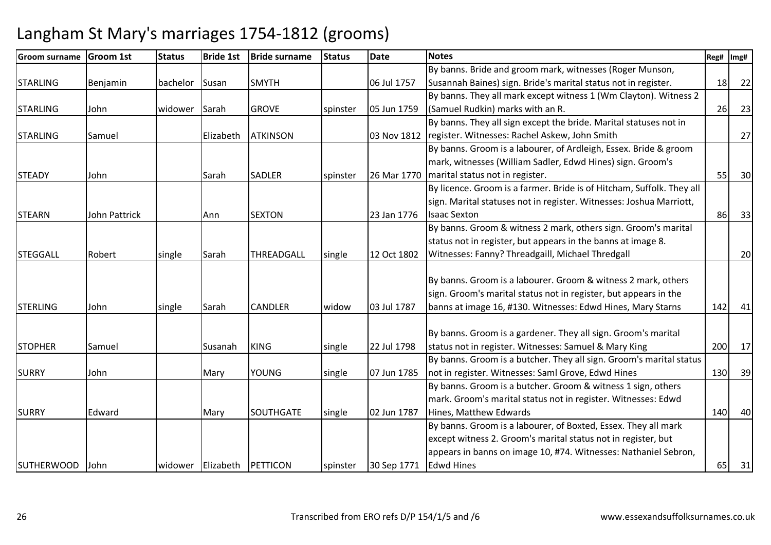| <b>Groom surname</b> | <b>Groom 1st</b> | <b>Status</b> | <b>Bride 1st</b>  | <b>Bride surname</b> | <b>Status</b> | <b>Date</b> | <b>Notes</b>                                                          | Reg# | Img# |
|----------------------|------------------|---------------|-------------------|----------------------|---------------|-------------|-----------------------------------------------------------------------|------|------|
|                      |                  |               |                   |                      |               |             | By banns. Bride and groom mark, witnesses (Roger Munson,              |      |      |
| <b>STARLING</b>      | Benjamin         | bachelor      | Susan             | <b>SMYTH</b>         |               | 06 Jul 1757 | Susannah Baines) sign. Bride's marital status not in register.        | 18   | 22   |
|                      |                  |               |                   |                      |               |             | By banns. They all mark except witness 1 (Wm Clayton). Witness 2      |      |      |
| <b>STARLING</b>      | John             | widower       | Sarah             | <b>GROVE</b>         | spinster      | 05 Jun 1759 | (Samuel Rudkin) marks with an R.                                      | 26   | 23   |
|                      |                  |               |                   |                      |               |             | By banns. They all sign except the bride. Marital statuses not in     |      |      |
| <b>STARLING</b>      | Samuel           |               | Elizabeth         | <b>ATKINSON</b>      |               | 03 Nov 1812 | register. Witnesses: Rachel Askew, John Smith                         |      | 27   |
|                      |                  |               |                   |                      |               |             | By banns. Groom is a labourer, of Ardleigh, Essex. Bride & groom      |      |      |
|                      |                  |               |                   |                      |               |             | mark, witnesses (William Sadler, Edwd Hines) sign. Groom's            |      |      |
| <b>STEADY</b>        | John             |               | Sarah             | <b>SADLER</b>        | spinster      | 26 Mar 1770 | marital status not in register.                                       | 55   | 30   |
|                      |                  |               |                   |                      |               |             | By licence. Groom is a farmer. Bride is of Hitcham, Suffolk. They all |      |      |
|                      |                  |               |                   |                      |               |             | sign. Marital statuses not in register. Witnesses: Joshua Marriott,   |      |      |
| <b>STEARN</b>        | John Pattrick    |               | Ann               | <b>SEXTON</b>        |               | 23 Jan 1776 | <b>Isaac Sexton</b>                                                   | 86   | 33   |
|                      |                  |               |                   |                      |               |             | By banns. Groom & witness 2 mark, others sign. Groom's marital        |      |      |
|                      |                  |               |                   |                      |               |             | status not in register, but appears in the banns at image 8.          |      |      |
| <b>STEGGALL</b>      | Robert           | single        | Sarah             | THREADGALL           | single        | 12 Oct 1802 | Witnesses: Fanny? Threadgaill, Michael Thredgall                      |      | 20   |
|                      |                  |               |                   |                      |               |             |                                                                       |      |      |
|                      |                  |               |                   |                      |               |             | By banns. Groom is a labourer. Groom & witness 2 mark, others         |      |      |
|                      |                  |               |                   |                      |               |             | sign. Groom's marital status not in register, but appears in the      |      |      |
| <b>STERLING</b>      | John             | single        | Sarah             | <b>CANDLER</b>       | widow         | 03 Jul 1787 | banns at image 16, #130. Witnesses: Edwd Hines, Mary Starns           | 142  | 41   |
|                      |                  |               |                   |                      |               |             |                                                                       |      |      |
|                      |                  |               |                   |                      |               |             | By banns. Groom is a gardener. They all sign. Groom's marital         |      |      |
| <b>STOPHER</b>       | Samuel           |               | Susanah           | <b>KING</b>          | single        | 22 Jul 1798 | status not in register. Witnesses: Samuel & Mary King                 | 200  | 17   |
|                      |                  |               |                   |                      |               |             | By banns. Groom is a butcher. They all sign. Groom's marital status   |      |      |
| <b>SURRY</b>         | John             |               | Mary              | <b>YOUNG</b>         | single        | 07 Jun 1785 | not in register. Witnesses: Saml Grove, Edwd Hines                    | 130  | 39   |
|                      |                  |               |                   |                      |               |             | By banns. Groom is a butcher. Groom & witness 1 sign, others          |      |      |
|                      |                  |               |                   |                      |               |             | mark. Groom's marital status not in register. Witnesses: Edwd         |      |      |
| <b>SURRY</b>         | Edward           |               | Mary              | <b>SOUTHGATE</b>     | single        | 02 Jun 1787 | Hines, Matthew Edwards                                                | 140  | 40   |
|                      |                  |               |                   |                      |               |             | By banns. Groom is a labourer, of Boxted, Essex. They all mark        |      |      |
|                      |                  |               |                   |                      |               |             | except witness 2. Groom's marital status not in register, but         |      |      |
|                      |                  |               |                   |                      |               |             | appears in banns on image 10, #74. Witnesses: Nathaniel Sebron,       |      |      |
| <b>SUTHERWOOD</b>    | <b>John</b>      |               | widower Elizabeth | PETTICON             | spinster      | 30 Sep 1771 | Edwd Hines                                                            | 65   | 31   |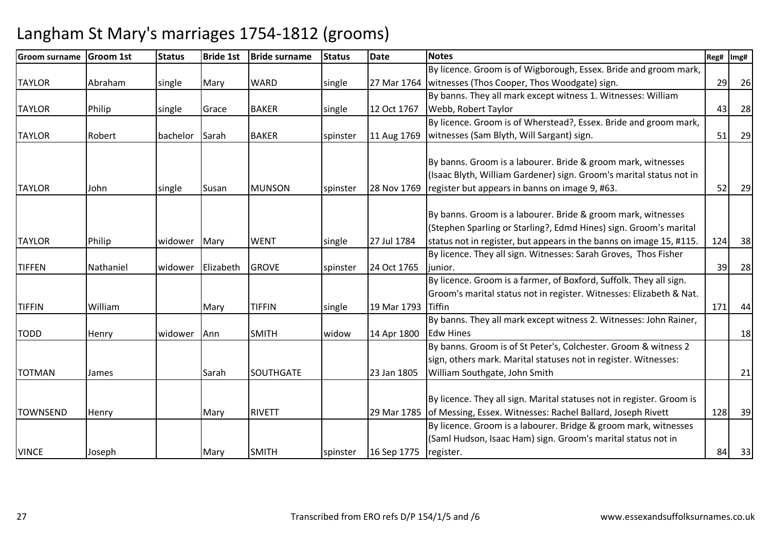| <b>Groom surname</b> | <b>Groom 1st</b> | <b>Status</b> | <b>Bride 1st</b> | <b>Bride surname</b> | <b>Status</b> | Date        | <b>Notes</b>                                                                                                                                               | Reg# | Img#      |
|----------------------|------------------|---------------|------------------|----------------------|---------------|-------------|------------------------------------------------------------------------------------------------------------------------------------------------------------|------|-----------|
|                      |                  |               |                  |                      |               |             | By licence. Groom is of Wigborough, Essex. Bride and groom mark,                                                                                           |      |           |
| <b>TAYLOR</b>        | Abraham          | single        | Mary             | <b>WARD</b>          | single        | 27 Mar 1764 | witnesses (Thos Cooper, Thos Woodgate) sign.                                                                                                               | 29   | 26        |
|                      |                  |               |                  |                      |               |             | By banns. They all mark except witness 1. Witnesses: William                                                                                               |      |           |
| <b>TAYLOR</b>        | Philip           | single        | Grace            | <b>BAKER</b>         | single        | 12 Oct 1767 | Webb, Robert Taylor                                                                                                                                        | 43   | 28        |
|                      |                  |               |                  |                      |               |             | By licence. Groom is of Wherstead?, Essex. Bride and groom mark,                                                                                           |      |           |
| <b>TAYLOR</b>        | Robert           | bachelor      | Sarah            | <b>BAKER</b>         | spinster      | 11 Aug 1769 | witnesses (Sam Blyth, Will Sargant) sign.                                                                                                                  | 51   | 29        |
|                      |                  |               |                  |                      |               |             | By banns. Groom is a labourer. Bride & groom mark, witnesses<br>(Isaac Blyth, William Gardener) sign. Groom's marital status not in                        |      |           |
| <b>TAYLOR</b>        | John             | single        | Susan            | <b>MUNSON</b>        | spinster      | 28 Nov 1769 | register but appears in banns on image 9, #63.                                                                                                             | 52   | <b>29</b> |
|                      |                  |               |                  |                      |               |             | By banns. Groom is a labourer. Bride & groom mark, witnesses<br>(Stephen Sparling or Starling?, Edmd Hines) sign. Groom's marital                          |      |           |
| <b>TAYLOR</b>        | Philip           | widower       | Mary             | <b>WENT</b>          | single        | 27 Jul 1784 | status not in register, but appears in the banns on image 15, #115.                                                                                        | 124  | 38        |
|                      |                  |               |                  |                      |               |             | By licence. They all sign. Witnesses: Sarah Groves, Thos Fisher                                                                                            |      |           |
| <b>TIFFEN</b>        | Nathaniel        | widower       | Elizabeth        | <b>GROVE</b>         | spinster      | 24 Oct 1765 | junior.                                                                                                                                                    | 39   | 28        |
| <b>TIFFIN</b>        | William          |               | Mary             | <b>TIFFIN</b>        | single        | 19 Mar 1793 | By licence. Groom is a farmer, of Boxford, Suffolk. They all sign.<br>Groom's marital status not in register. Witnesses: Elizabeth & Nat.<br><b>Tiffin</b> | 171  | 44        |
|                      |                  |               |                  |                      |               |             | By banns. They all mark except witness 2. Witnesses: John Rainer,                                                                                          |      |           |
| <b>TODD</b>          | Henry            | widower       | Ann              | <b>SMITH</b>         | widow         | 14 Apr 1800 | <b>Edw Hines</b>                                                                                                                                           |      | 18        |
|                      |                  |               |                  |                      |               |             | By banns. Groom is of St Peter's, Colchester. Groom & witness 2<br>sign, others mark. Marital statuses not in register. Witnesses:                         |      |           |
| <b>TOTMAN</b>        | James            |               | Sarah            | <b>SOUTHGATE</b>     |               | 23 Jan 1805 | William Southgate, John Smith                                                                                                                              |      | 21        |
| <b>TOWNSEND</b>      | Henry            |               | Mary             | <b>RIVETT</b>        |               | 29 Mar 1785 | By licence. They all sign. Marital statuses not in register. Groom is<br>of Messing, Essex. Witnesses: Rachel Ballard, Joseph Rivett                       | 128  | 39        |
|                      |                  |               |                  |                      |               |             | By licence. Groom is a labourer. Bridge & groom mark, witnesses                                                                                            |      |           |
| <b>VINCE</b>         | Joseph           |               | Mary             | <b>SMITH</b>         | spinster      | 16 Sep 1775 | (Saml Hudson, Isaac Ham) sign. Groom's marital status not in<br>register.                                                                                  | 84   | 33        |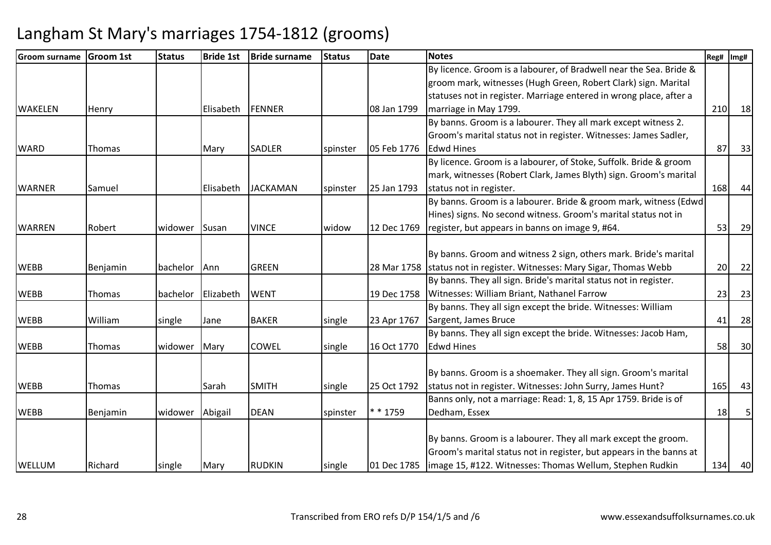| <b>Groom surname</b> | Groom 1st | <b>Status</b> | <b>Bride 1st</b> | <b>Bride surname</b> | <b>Status</b> | <b>Date</b> | <b>Notes</b>                                                           | Reg# | Img# |
|----------------------|-----------|---------------|------------------|----------------------|---------------|-------------|------------------------------------------------------------------------|------|------|
|                      |           |               |                  |                      |               |             | By licence. Groom is a labourer, of Bradwell near the Sea. Bride &     |      |      |
|                      |           |               |                  |                      |               |             | groom mark, witnesses (Hugh Green, Robert Clark) sign. Marital         |      |      |
|                      |           |               |                  |                      |               |             | statuses not in register. Marriage entered in wrong place, after a     |      |      |
| <b>WAKELEN</b>       | Henry     |               | Elisabeth        | <b>FENNER</b>        |               | 08 Jan 1799 | marriage in May 1799.                                                  | 210  | 18   |
|                      |           |               |                  |                      |               |             | By banns. Groom is a labourer. They all mark except witness 2.         |      |      |
|                      |           |               |                  |                      |               |             | Groom's marital status not in register. Witnesses: James Sadler,       |      |      |
| <b>WARD</b>          | Thomas    |               | Mary             | <b>SADLER</b>        | spinster      | 05 Feb 1776 | <b>Edwd Hines</b>                                                      | 87   | 33   |
|                      |           |               |                  |                      |               |             | By licence. Groom is a labourer, of Stoke, Suffolk. Bride & groom      |      |      |
|                      |           |               |                  |                      |               |             | mark, witnesses (Robert Clark, James Blyth) sign. Groom's marital      |      |      |
| <b>WARNER</b>        | Samuel    |               | Elisabeth        | <b>JACKAMAN</b>      | spinster      | 25 Jan 1793 | status not in register.                                                | 168  | 44   |
|                      |           |               |                  |                      |               |             | By banns. Groom is a labourer. Bride & groom mark, witness (Edwd)      |      |      |
|                      |           |               |                  |                      |               |             | Hines) signs. No second witness. Groom's marital status not in         |      |      |
| <b>WARREN</b>        | Robert    | widower       | Susan            | <b>VINCE</b>         | widow         | 12 Dec 1769 | register, but appears in banns on image 9, #64.                        | 53   | 29   |
|                      |           |               |                  |                      |               |             |                                                                        |      |      |
|                      |           |               |                  |                      |               |             | By banns. Groom and witness 2 sign, others mark. Bride's marital       |      |      |
| <b>WEBB</b>          | Benjamin  | bachelor      | Ann              | <b>GREEN</b>         |               |             | 28 Mar 1758 status not in register. Witnesses: Mary Sigar, Thomas Webb | 20   | 22   |
|                      |           |               |                  |                      |               |             | By banns. They all sign. Bride's marital status not in register.       |      |      |
| <b>WEBB</b>          | Thomas    | bachelor      | Elizabeth        | <b>WENT</b>          |               | 19 Dec 1758 | Witnesses: William Briant, Nathanel Farrow                             | 23   | 23   |
|                      |           |               |                  |                      |               |             | By banns. They all sign except the bride. Witnesses: William           |      |      |
| <b>WEBB</b>          | William   | single        | Jane             | <b>BAKER</b>         | single        | 23 Apr 1767 | Sargent, James Bruce                                                   | 41   | 28   |
|                      |           |               |                  |                      |               |             | By banns. They all sign except the bride. Witnesses: Jacob Ham,        |      |      |
| <b>WEBB</b>          | Thomas    | widower       | Mary             | <b>COWEL</b>         | single        | 16 Oct 1770 | <b>Edwd Hines</b>                                                      | 58   | 30   |
|                      |           |               |                  |                      |               |             |                                                                        |      |      |
|                      |           |               |                  |                      |               |             | By banns. Groom is a shoemaker. They all sign. Groom's marital         |      |      |
| <b>WEBB</b>          | Thomas    |               | Sarah            | <b>SMITH</b>         | single        | 25 Oct 1792 | status not in register. Witnesses: John Surry, James Hunt?             | 165  | 43   |
|                      |           |               |                  |                      |               |             | Banns only, not a marriage: Read: 1, 8, 15 Apr 1759. Bride is of       |      |      |
| <b>WEBB</b>          | Benjamin  | widower       | Abigail          | <b>DEAN</b>          | spinster      | * * 1759    | Dedham, Essex                                                          | 18   |      |
|                      |           |               |                  |                      |               |             |                                                                        |      |      |
|                      |           |               |                  |                      |               |             | By banns. Groom is a labourer. They all mark except the groom.         |      |      |
|                      |           |               |                  |                      |               |             | Groom's marital status not in register, but appears in the banns at    |      |      |
| <b>WELLUM</b>        | Richard   | single        | Mary             | <b>RUDKIN</b>        | single        | 01 Dec 1785 | image 15, #122. Witnesses: Thomas Wellum, Stephen Rudkin               | 134  | 40   |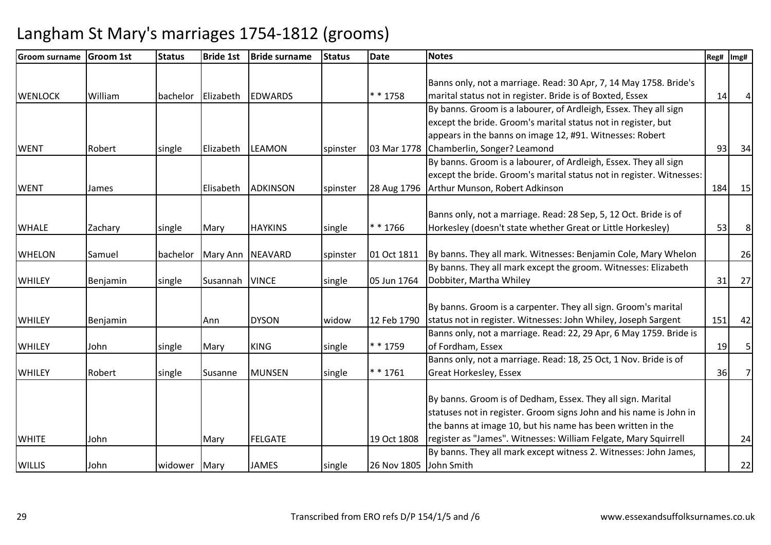| <b>Groom surname</b> | <b>Groom 1st</b> | <b>Status</b> | <b>Bride 1st</b> | <b>Bride surname</b> | <b>Status</b> | <b>Date</b>            | <b>Notes</b>                                                         | Reg# | Img#           |
|----------------------|------------------|---------------|------------------|----------------------|---------------|------------------------|----------------------------------------------------------------------|------|----------------|
|                      |                  |               |                  |                      |               |                        |                                                                      |      |                |
|                      |                  |               |                  |                      |               |                        | Banns only, not a marriage. Read: 30 Apr, 7, 14 May 1758. Bride's    |      |                |
| <b>WENLOCK</b>       | William          | bachelor      | Elizabeth        | <b>EDWARDS</b>       |               | $* * 1758$             | marital status not in register. Bride is of Boxted, Essex            | 14   |                |
|                      |                  |               |                  |                      |               |                        | By banns. Groom is a labourer, of Ardleigh, Essex. They all sign     |      |                |
|                      |                  |               |                  |                      |               |                        | except the bride. Groom's marital status not in register, but        |      |                |
|                      |                  |               |                  |                      |               |                        | appears in the banns on image 12, #91. Witnesses: Robert             |      |                |
| <b>WENT</b>          | Robert           | single        | Elizabeth        | <b>LEAMON</b>        | spinster      | 03 Mar 1778            | Chamberlin, Songer? Leamond                                          | 93   | 34             |
|                      |                  |               |                  |                      |               |                        | By banns. Groom is a labourer, of Ardleigh, Essex. They all sign     |      |                |
|                      |                  |               |                  |                      |               |                        | except the bride. Groom's marital status not in register. Witnesses: |      |                |
| <b>WENT</b>          | James            |               | Elisabeth        | <b>ADKINSON</b>      | spinster      | 28 Aug 1796            | Arthur Munson, Robert Adkinson                                       | 184  | 15             |
|                      |                  |               |                  |                      |               |                        |                                                                      |      |                |
|                      |                  |               |                  |                      |               |                        | Banns only, not a marriage. Read: 28 Sep, 5, 12 Oct. Bride is of     |      |                |
| <b>WHALE</b>         | Zachary          | single        | Mary             | <b>HAYKINS</b>       | single        | * * 1766               | Horkesley (doesn't state whether Great or Little Horkesley)          | 53   | 8 <sup>1</sup> |
|                      |                  |               |                  |                      |               |                        |                                                                      |      |                |
| <b>WHELON</b>        | Samuel           | bachelor      | Mary Ann         | <b>NEAVARD</b>       | spinster      | 01 Oct 1811            | By banns. They all mark. Witnesses: Benjamin Cole, Mary Whelon       |      | 26             |
|                      |                  |               |                  |                      |               |                        | By banns. They all mark except the groom. Witnesses: Elizabeth       |      |                |
| <b>WHILEY</b>        | Benjamin         | single        | Susannah         | <b>VINCE</b>         | single        | 05 Jun 1764            | Dobbiter, Martha Whiley                                              | 31   | 27             |
|                      |                  |               |                  |                      |               |                        |                                                                      |      |                |
|                      |                  |               |                  |                      |               |                        | By banns. Groom is a carpenter. They all sign. Groom's marital       |      |                |
| <b>WHILEY</b>        | Benjamin         |               | Ann              | <b>DYSON</b>         | widow         | 12 Feb 1790            | status not in register. Witnesses: John Whiley, Joseph Sargent       | 151  | 42             |
|                      |                  |               |                  |                      |               |                        | Banns only, not a marriage. Read: 22, 29 Apr, 6 May 1759. Bride is   |      |                |
| <b>WHILEY</b>        | John             | single        | Mary             | <b>KING</b>          | single        | $* * 1759$             | of Fordham, Essex                                                    | 19   | 5 <sub>l</sub> |
|                      |                  |               |                  |                      |               |                        | Banns only, not a marriage. Read: 18, 25 Oct, 1 Nov. Bride is of     |      |                |
| <b>WHILEY</b>        | Robert           | single        | Susanne          | <b>MUNSEN</b>        | single        | ** 1761                | Great Horkesley, Essex                                               | 36   | 7 <sup>1</sup> |
|                      |                  |               |                  |                      |               |                        |                                                                      |      |                |
|                      |                  |               |                  |                      |               |                        | By banns. Groom is of Dedham, Essex. They all sign. Marital          |      |                |
|                      |                  |               |                  |                      |               |                        | statuses not in register. Groom signs John and his name is John in   |      |                |
|                      |                  |               |                  |                      |               |                        | the banns at image 10, but his name has been written in the          |      |                |
| <b>WHITE</b>         | John             |               | Mary             | <b>FELGATE</b>       |               | 19 Oct 1808            | register as "James". Witnesses: William Felgate, Mary Squirrell      |      | 24             |
|                      |                  |               |                  |                      |               |                        | By banns. They all mark except witness 2. Witnesses: John James,     |      |                |
| <b>WILLIS</b>        | John             | widower       | Mary             | <b>JAMES</b>         | single        | 26 Nov 1805 John Smith |                                                                      |      | 22             |